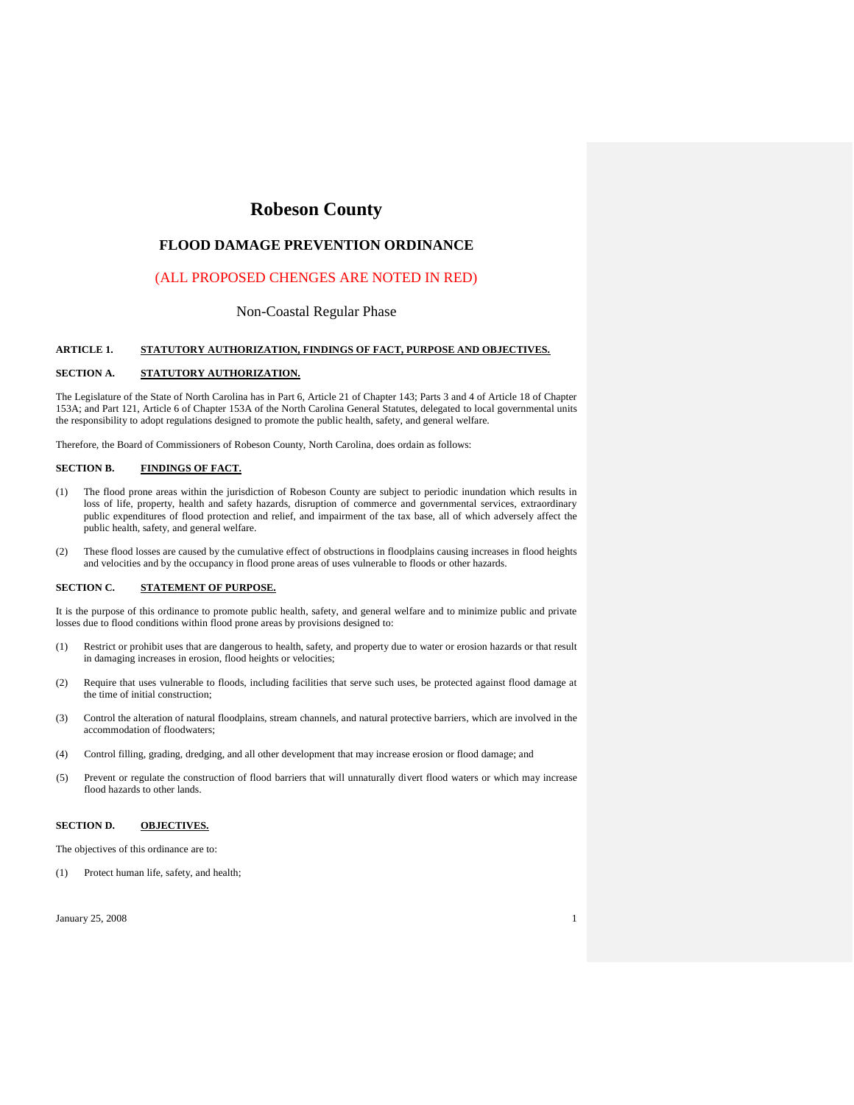# **Robeson County**

## **FLOOD DAMAGE PREVENTION ORDINANCE**

## (ALL PROPOSED CHENGES ARE NOTED IN RED)

## Non-Coastal Regular Phase

#### **ARTICLE 1. STATUTORY AUTHORIZATION, FINDINGS OF FACT, PURPOSE AND OBJECTIVES.**

### **SECTION A. STATUTORY AUTHORIZATION.**

The Legislature of the State of North Carolina has in Part 6, Article 21 of Chapter 143; Parts 3 and 4 of Article 18 of Chapter 153A; and Part 121, Article 6 of Chapter 153A of the North Carolina General Statutes, delegated to local governmental units the responsibility to adopt regulations designed to promote the public health, safety, and general welfare.

Therefore, the Board of Commissioners of Robeson County, North Carolina, does ordain as follows:

### **SECTION B. FINDINGS OF FACT.**

- (1) The flood prone areas within the jurisdiction of Robeson County are subject to periodic inundation which results in loss of life, property, health and safety hazards, disruption of commerce and governmental services, extraordinary public expenditures of flood protection and relief, and impairment of the tax base, all of which adversely affect the public health, safety, and general welfare.
- (2) These flood losses are caused by the cumulative effect of obstructions in floodplains causing increases in flood heights and velocities and by the occupancy in flood prone areas of uses vulnerable to floods or other hazards.

#### **SECTION C. STATEMENT OF PURPOSE.**

It is the purpose of this ordinance to promote public health, safety, and general welfare and to minimize public and private losses due to flood conditions within flood prone areas by provisions designed to:

- (1) Restrict or prohibit uses that are dangerous to health, safety, and property due to water or erosion hazards or that result in damaging increases in erosion, flood heights or velocities;
- (2) Require that uses vulnerable to floods, including facilities that serve such uses, be protected against flood damage at the time of initial construction;
- (3) Control the alteration of natural floodplains, stream channels, and natural protective barriers, which are involved in the accommodation of floodwaters;
- (4) Control filling, grading, dredging, and all other development that may increase erosion or flood damage; and
- (5) Prevent or regulate the construction of flood barriers that will unnaturally divert flood waters or which may increase flood hazards to other lands.

### **SECTION D. OBJECTIVES.**

The objectives of this ordinance are to:

(1) Protect human life, safety, and health;

 $J_{\text{anuary}}$  25, 2008 1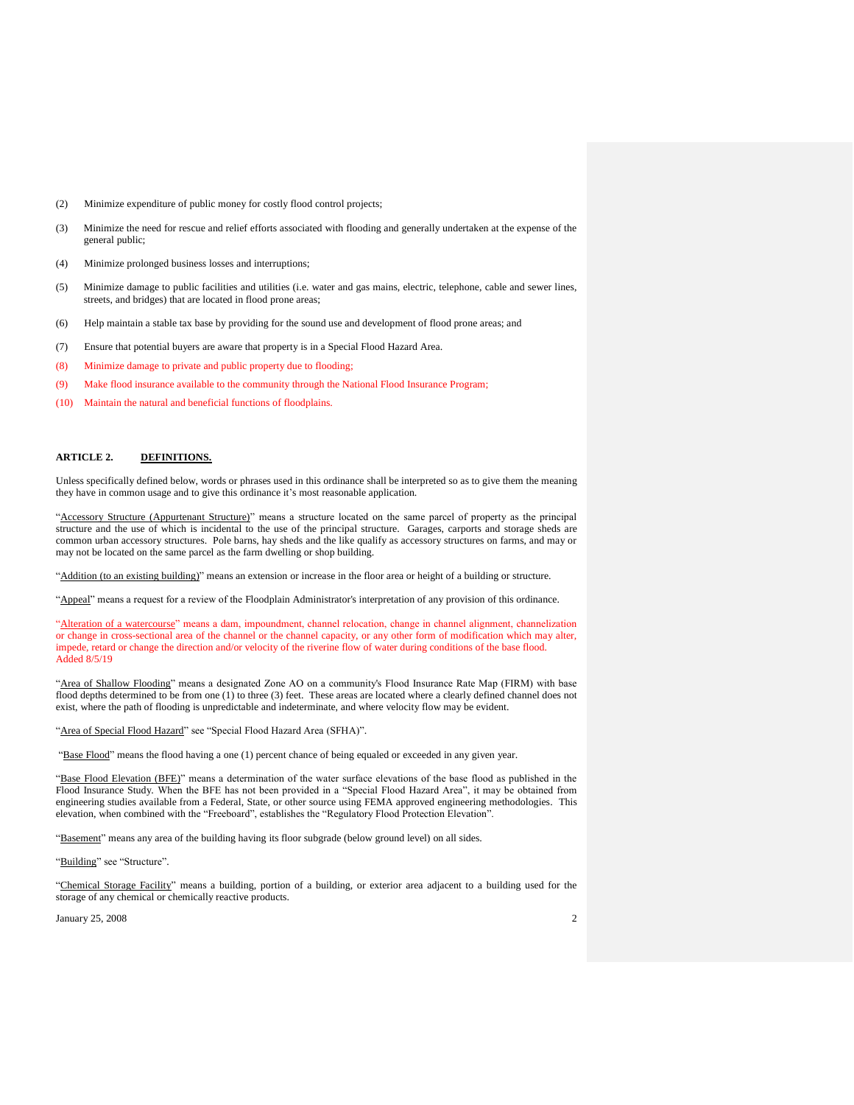- (2) Minimize expenditure of public money for costly flood control projects;
- (3) Minimize the need for rescue and relief efforts associated with flooding and generally undertaken at the expense of the general public;
- (4) Minimize prolonged business losses and interruptions;
- (5) Minimize damage to public facilities and utilities (i.e. water and gas mains, electric, telephone, cable and sewer lines, streets, and bridges) that are located in flood prone areas;
- (6) Help maintain a stable tax base by providing for the sound use and development of flood prone areas; and
- (7) Ensure that potential buyers are aware that property is in a Special Flood Hazard Area.
- (8) Minimize damage to private and public property due to flooding;
- (9) Make flood insurance available to the community through the National Flood Insurance Program;
- (10) Maintain the natural and beneficial functions of floodplains.

### **ARTICLE 2. DEFINITIONS.**

Unless specifically defined below, words or phrases used in this ordinance shall be interpreted so as to give them the meaning they have in common usage and to give this ordinance it's most reasonable application.

"Accessory Structure (Appurtenant Structure)" means a structure located on the same parcel of property as the principal structure and the use of which is incidental to the use of the principal structure. Garages, carports and storage sheds are common urban accessory structures. Pole barns, hay sheds and the like qualify as accessory structures on farms, and may or may not be located on the same parcel as the farm dwelling or shop building.

"Addition (to an existing building)" means an extension or increase in the floor area or height of a building or structure.

"Appeal" means a request for a review of the Floodplain Administrator's interpretation of any provision of this ordinance.

"Alteration of a watercourse" means a dam, impoundment, channel relocation, change in channel alignment, channelization or change in cross-sectional area of the channel or the channel capacity, or any other form of modification which may alter, impede, retard or change the direction and/or velocity of the riverine flow of water during conditions of the base flood. Added 8/5/19

"Area of Shallow Flooding" means a designated Zone AO on a community's Flood Insurance Rate Map (FIRM) with base flood depths determined to be from one (1) to three (3) feet. These areas are located where a clearly defined channel does not exist, where the path of flooding is unpredictable and indeterminate, and where velocity flow may be evident.

"Area of Special Flood Hazard" see "Special Flood Hazard Area (SFHA)".

"Base Flood" means the flood having a one (1) percent chance of being equaled or exceeded in any given year.

"Base Flood Elevation (BFE)" means a determination of the water surface elevations of the base flood as published in the Flood Insurance Study. When the BFE has not been provided in a "Special Flood Hazard Area", it may be obtained from engineering studies available from a Federal, State, or other source using FEMA approved engineering methodologies. This elevation, when combined with the "Freeboard", establishes the "Regulatory Flood Protection Elevation".

"Basement" means any area of the building having its floor subgrade (below ground level) on all sides.

#### "Building" see "Structure".

"Chemical Storage Facility" means a building, portion of a building, or exterior area adjacent to a building used for the storage of any chemical or chemically reactive products.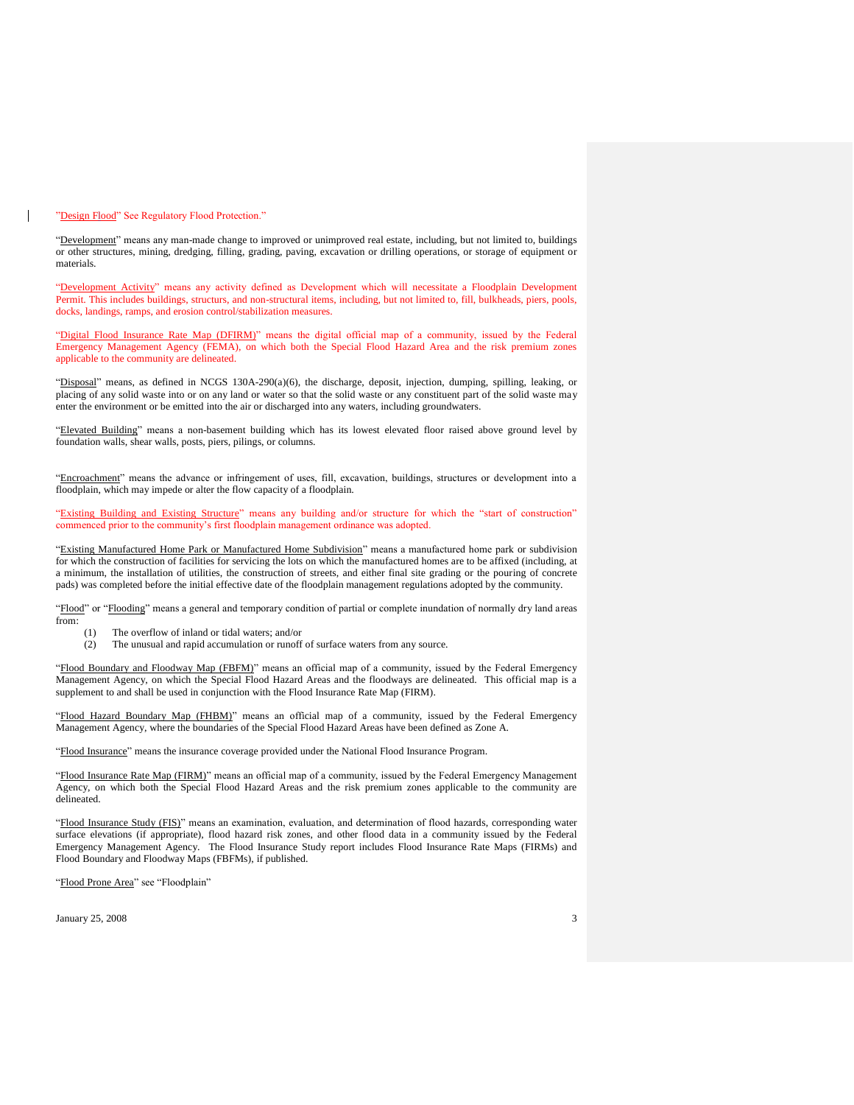#### "Design Flood" See Regulatory Flood Protection."

"Development" means any man-made change to improved or unimproved real estate, including, but not limited to, buildings or other structures, mining, dredging, filling, grading, paving, excavation or drilling operations, or storage of equipment or materials.

"Development Activity" means any activity defined as Development which will necessitate a Floodplain Development Permit. This includes buildings, structurs, and non-structural items, including, but not limited to, fill, bulkheads, piers, pools, docks, landings, ramps, and erosion control/stabilization measures.

"Digital Flood Insurance Rate Map (DFIRM)" means the digital official map of a community, issued by the Federal Emergency Management Agency (FEMA), on which both the Special Flood Hazard Area and the risk premium zones applicable to the community are delineated.

"Disposal" means, as defined in NCGS 130A-290(a)(6), the discharge, deposit, injection, dumping, spilling, leaking, or placing of any solid waste into or on any land or water so that the solid waste or any constituent part of the solid waste may enter the environment or be emitted into the air or discharged into any waters, including groundwaters.

"Elevated Building" means a non-basement building which has its lowest elevated floor raised above ground level by foundation walls, shear walls, posts, piers, pilings, or columns.

"Encroachment" means the advance or infringement of uses, fill, excavation, buildings, structures or development into a floodplain, which may impede or alter the flow capacity of a floodplain.

"Existing Building and Existing Structure" means any building and/or structure for which the "start of construction" commenced prior to the community's first floodplain management ordinance was adopted.

"Existing Manufactured Home Park or Manufactured Home Subdivision" means a manufactured home park or subdivision for which the construction of facilities for servicing the lots on which the manufactured homes are to be affixed (including, at a minimum, the installation of utilities, the construction of streets, and either final site grading or the pouring of concrete pads) was completed before the initial effective date of the floodplain management regulations adopted by the community.

"Flood" or "Flooding" means a general and temporary condition of partial or complete inundation of normally dry land areas from:

- (1) The overflow of inland or tidal waters; and/or
- (2) The unusual and rapid accumulation or runoff of surface waters from any source.

"Flood Boundary and Floodway Map (FBFM)" means an official map of a community, issued by the Federal Emergency Management Agency, on which the Special Flood Hazard Areas and the floodways are delineated. This official map is a supplement to and shall be used in conjunction with the Flood Insurance Rate Map (FIRM).

"Flood Hazard Boundary Map (FHBM)" means an official map of a community, issued by the Federal Emergency Management Agency, where the boundaries of the Special Flood Hazard Areas have been defined as Zone A.

"Flood Insurance" means the insurance coverage provided under the National Flood Insurance Program.

"Flood Insurance Rate Map (FIRM)" means an official map of a community, issued by the Federal Emergency Management Agency, on which both the Special Flood Hazard Areas and the risk premium zones applicable to the community are delineated.

"Flood Insurance Study (FIS)" means an examination, evaluation, and determination of flood hazards, corresponding water surface elevations (if appropriate), flood hazard risk zones, and other flood data in a community issued by the Federal Emergency Management Agency. The Flood Insurance Study report includes Flood Insurance Rate Maps (FIRMs) and Flood Boundary and Floodway Maps (FBFMs), if published.

"Flood Prone Area" see "Floodplain"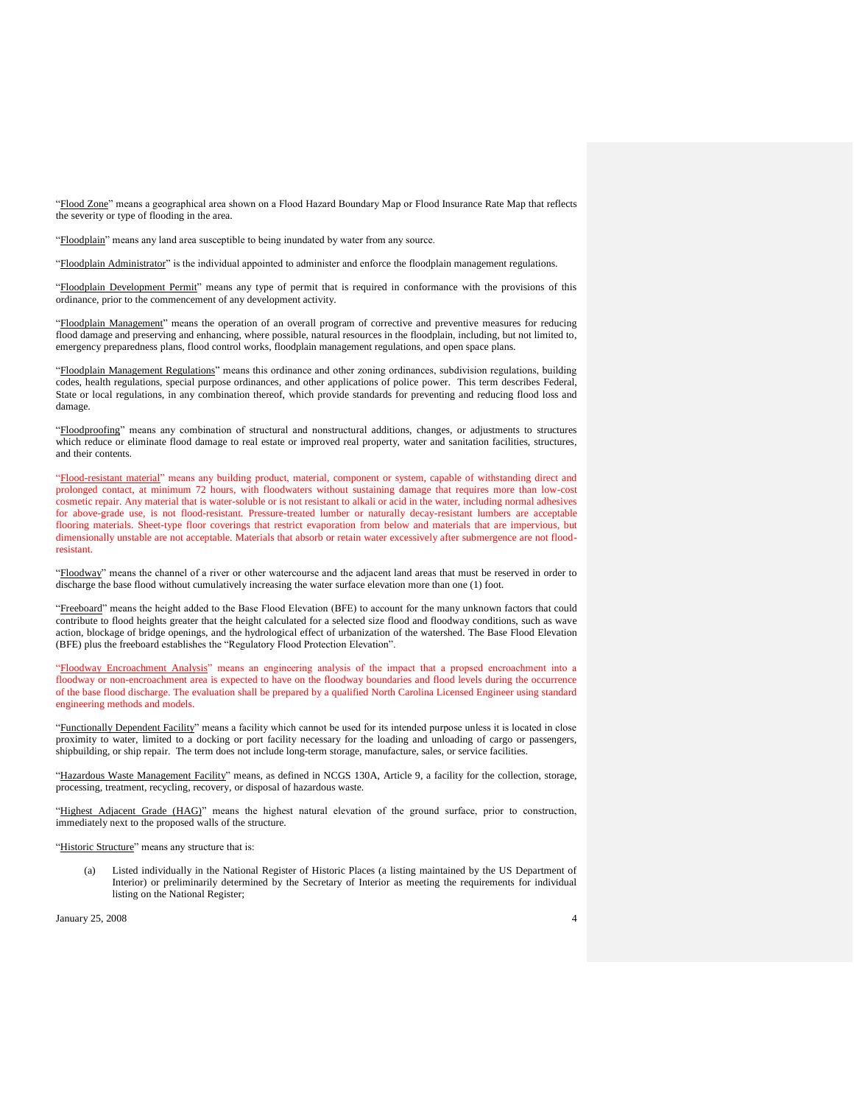"Flood Zone" means a geographical area shown on a Flood Hazard Boundary Map or Flood Insurance Rate Map that reflects the severity or type of flooding in the area.

"Floodplain" means any land area susceptible to being inundated by water from any source.

"Floodplain Administrator" is the individual appointed to administer and enforce the floodplain management regulations.

"Floodplain Development Permit" means any type of permit that is required in conformance with the provisions of this ordinance, prior to the commencement of any development activity.

"Floodplain Management" means the operation of an overall program of corrective and preventive measures for reducing flood damage and preserving and enhancing, where possible, natural resources in the floodplain, including, but not limited to, emergency preparedness plans, flood control works, floodplain management regulations, and open space plans.

"Floodplain Management Regulations" means this ordinance and other zoning ordinances, subdivision regulations, building codes, health regulations, special purpose ordinances, and other applications of police power. This term describes Federal, State or local regulations, in any combination thereof, which provide standards for preventing and reducing flood loss and damage.

"Floodproofing" means any combination of structural and nonstructural additions, changes, or adjustments to structures which reduce or eliminate flood damage to real estate or improved real property, water and sanitation facilities, structures, and their contents.

"Flood-resistant material" means any building product, material, component or system, capable of withstanding direct and prolonged contact, at minimum 72 hours, with floodwaters without sustaining damage that requires more than low-cost cosmetic repair. Any material that is water-soluble or is not resistant to alkali or acid in the water, including normal adhesives for above-grade use, is not flood-resistant. Pressure-treated lumber or naturally decay-resistant lumbers are acceptable flooring materials. Sheet-type floor coverings that restrict evaporation from below and materials that are impervious, but dimensionally unstable are not acceptable. Materials that absorb or retain water excessively after submergence are not floodresistant.

"Floodway" means the channel of a river or other watercourse and the adjacent land areas that must be reserved in order to discharge the base flood without cumulatively increasing the water surface elevation more than one (1) foot.

"Freeboard" means the height added to the Base Flood Elevation (BFE) to account for the many unknown factors that could contribute to flood heights greater that the height calculated for a selected size flood and floodway conditions, such as wave action, blockage of bridge openings, and the hydrological effect of urbanization of the watershed. The Base Flood Elevation (BFE) plus the freeboard establishes the "Regulatory Flood Protection Elevation".

"Floodway Encroachment Analysis" means an engineering analysis of the impact that a propsed encroachment into a floodway or non-encroachment area is expected to have on the floodway boundaries and flood levels during the occurrence of the base flood discharge. The evaluation shall be prepared by a qualified North Carolina Licensed Engineer using standard engineering methods and models.

"Functionally Dependent Facility" means a facility which cannot be used for its intended purpose unless it is located in close proximity to water, limited to a docking or port facility necessary for the loading and unloading of cargo or passengers, shipbuilding, or ship repair. The term does not include long-term storage, manufacture, sales, or service facilities.

"Hazardous Waste Management Facility" means, as defined in NCGS 130A, Article 9, a facility for the collection, storage, processing, treatment, recycling, recovery, or disposal of hazardous waste.

"Highest Adjacent Grade (HAG)" means the highest natural elevation of the ground surface, prior to construction, immediately next to the proposed walls of the structure.

"Historic Structure" means any structure that is:

(a) Listed individually in the National Register of Historic Places (a listing maintained by the US Department of Interior) or preliminarily determined by the Secretary of Interior as meeting the requirements for individual listing on the National Register;

 $J_{\text{anuary}}$  25, 2008 4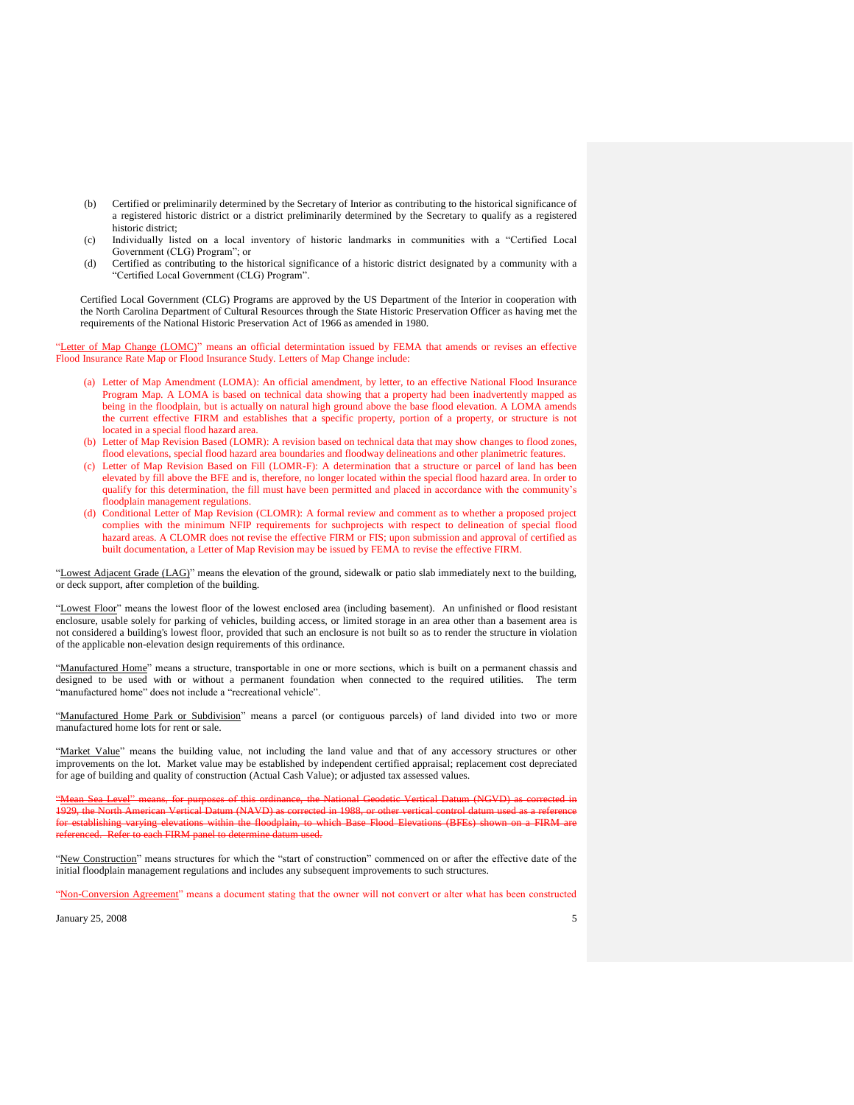- (b) Certified or preliminarily determined by the Secretary of Interior as contributing to the historical significance of a registered historic district or a district preliminarily determined by the Secretary to qualify as a registered historic district;
- (c) Individually listed on a local inventory of historic landmarks in communities with a "Certified Local Government (CLG) Program"; or
- (d) Certified as contributing to the historical significance of a historic district designated by a community with a "Certified Local Government (CLG) Program".

Certified Local Government (CLG) Programs are approved by the US Department of the Interior in cooperation with the North Carolina Department of Cultural Resources through the State Historic Preservation Officer as having met the requirements of the National Historic Preservation Act of 1966 as amended in 1980.

"Letter of Map Change (LOMC)" means an official determintation issued by FEMA that amends or revises an effective Flood Insurance Rate Map or Flood Insurance Study. Letters of Map Change include:

- (a) Letter of Map Amendment (LOMA): An official amendment, by letter, to an effective National Flood Insurance Program Map. A LOMA is based on technical data showing that a property had been inadvertently mapped as being in the floodplain, but is actually on natural high ground above the base flood elevation. A LOMA amends the current effective FIRM and establishes that a specific property, portion of a property, or structure is not located in a special flood hazard area.
- (b) Letter of Map Revision Based (LOMR): A revision based on technical data that may show changes to flood zones, flood elevations, special flood hazard area boundaries and floodway delineations and other planimetric features.
- (c) Letter of Map Revision Based on Fill (LOMR-F): A determination that a structure or parcel of land has been elevated by fill above the BFE and is, therefore, no longer located within the special flood hazard area. In order to qualify for this determination, the fill must have been permitted and placed in accordance with the community's floodplain management regulations.
- (d) Conditional Letter of Map Revision (CLOMR): A formal review and comment as to whether a proposed project complies with the minimum NFIP requirements for suchprojects with respect to delineation of special flood hazard areas. A CLOMR does not revise the effective FIRM or FIS; upon submission and approval of certified as built documentation, a Letter of Map Revision may be issued by FEMA to revise the effective FIRM.

"Lowest Adjacent Grade (LAG)" means the elevation of the ground, sidewalk or patio slab immediately next to the building, or deck support, after completion of the building.

"Lowest Floor" means the lowest floor of the lowest enclosed area (including basement). An unfinished or flood resistant enclosure, usable solely for parking of vehicles, building access, or limited storage in an area other than a basement area is not considered a building's lowest floor, provided that such an enclosure is not built so as to render the structure in violation of the applicable non-elevation design requirements of this ordinance.

"Manufactured Home" means a structure, transportable in one or more sections, which is built on a permanent chassis and designed to be used with or without a permanent foundation when connected to the required utilities. The term "manufactured home" does not include a "recreational vehicle".

"Manufactured Home Park or Subdivision" means a parcel (or contiguous parcels) of land divided into two or more manufactured home lots for rent or sale.

"Market Value" means the building value, not including the land value and that of any accessory structures or other improvements on the lot. Market value may be established by independent certified appraisal; replacement cost depreciated for age of building and quality of construction (Actual Cash Value); or adjusted tax assessed values.

"Mean Sea Level" means, for purposes of this ordinance, the National Geodetic Vertical Datum (NGVD) as corrected in 1929, the North American Vertical Datum (NAVD) as corrected in 1988, or other vertical control datum used as a reference establishing varying elevations within the floodplain, to which Base Flood Elevations (BFEs) shown on a FIRM<br>canced. Refer to each EIRM panel to determine datum used. referenced. Refer to each FIRM panel to determine datum used.

"New Construction" means structures for which the "start of construction" commenced on or after the effective date of the initial floodplain management regulations and includes any subsequent improvements to such structures.

"Non-Conversion Agreement" means a document stating that the owner will not convert or alter what has been constructed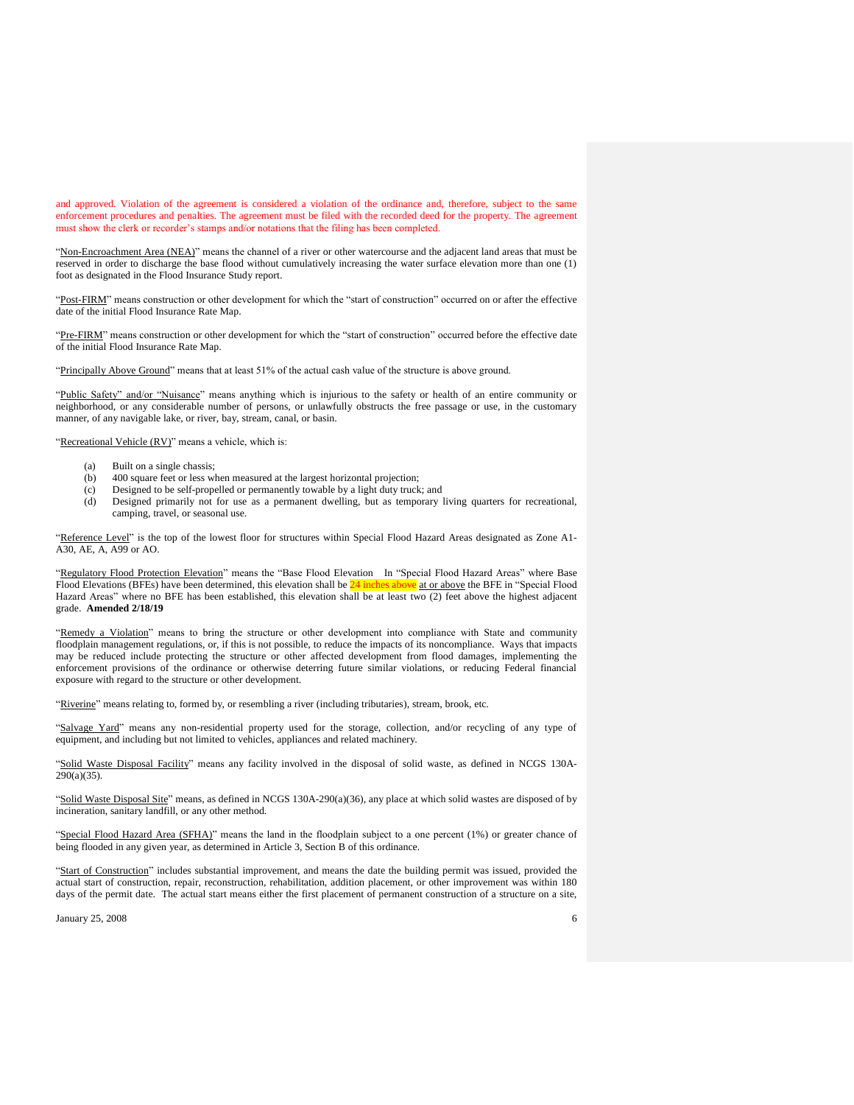and approved. Violation of the agreement is considered a violation of the ordinance and, therefore, subject to the same enforcement procedures and penalties. The agreement must be filed with the recorded deed for the property. The agreement must show the clerk or recorder's stamps and/or notations that the filing has been completed.

"Non-Encroachment Area (NEA)" means the channel of a river or other watercourse and the adjacent land areas that must be reserved in order to discharge the base flood without cumulatively increasing the water surface elevation more than one (1) foot as designated in the Flood Insurance Study report.

"Post-FIRM" means construction or other development for which the "start of construction" occurred on or after the effective date of the initial Flood Insurance Rate Map.

"Pre-FIRM" means construction or other development for which the "start of construction" occurred before the effective date of the initial Flood Insurance Rate Map.

"Principally Above Ground" means that at least 51% of the actual cash value of the structure is above ground.

"Public Safety" and/or "Nuisance" means anything which is injurious to the safety or health of an entire community or neighborhood, or any considerable number of persons, or unlawfully obstructs the free passage or use, in the customary manner, of any navigable lake, or river, bay, stream, canal, or basin.

"Recreational Vehicle (RV)" means a vehicle, which is:

- (a) Built on a single chassis;
- (b) 400 square feet or less when measured at the largest horizontal projection;
- (c) Designed to be self-propelled or permanently towable by a light duty truck; and
- (d) Designed primarily not for use as a permanent dwelling, but as temporary living quarters for recreational, camping, travel, or seasonal use.

"Reference Level" is the top of the lowest floor for structures within Special Flood Hazard Areas designated as Zone A1-A30, AE, A, A99 or AO.

'Regulatory Flood Protection Elevation'' means the "Base Flood Elevation In "Special Flood Hazard Areas" where Base Flood Elevations (BFEs) have been determined, this elevation shall be 24 inches above at or above the BFE in "Special Flood Hazard Areas" where no BFE has been established, this elevation shall be at least two (2) feet above the highest adjacent grade. **Amended 2/18/19**

"Remedy a Violation" means to bring the structure or other development into compliance with State and community floodplain management regulations, or, if this is not possible, to reduce the impacts of its noncompliance. Ways that impacts may be reduced include protecting the structure or other affected development from flood damages, implementing the enforcement provisions of the ordinance or otherwise deterring future similar violations, or reducing Federal financial exposure with regard to the structure or other development.

"Riverine" means relating to, formed by, or resembling a river (including tributaries), stream, brook, etc.

"Salvage Yard" means any non-residential property used for the storage, collection, and/or recycling of any type of equipment, and including but not limited to vehicles, appliances and related machinery.

"Solid Waste Disposal Facility" means any facility involved in the disposal of solid waste, as defined in NCGS 130A-290(a)(35).

"Solid Waste Disposal Site" means, as defined in NCGS 130A-290(a)(36), any place at which solid wastes are disposed of by incineration, sanitary landfill, or any other method.

"Special Flood Hazard Area (SFHA)" means the land in the floodplain subject to a one percent (1%) or greater chance of being flooded in any given year, as determined in Article 3, Section B of this ordinance.

"Start of Construction" includes substantial improvement, and means the date the building permit was issued, provided the actual start of construction, repair, reconstruction, rehabilitation, addition placement, or other improvement was within 180 days of the permit date. The actual start means either the first placement of permanent construction of a structure on a site,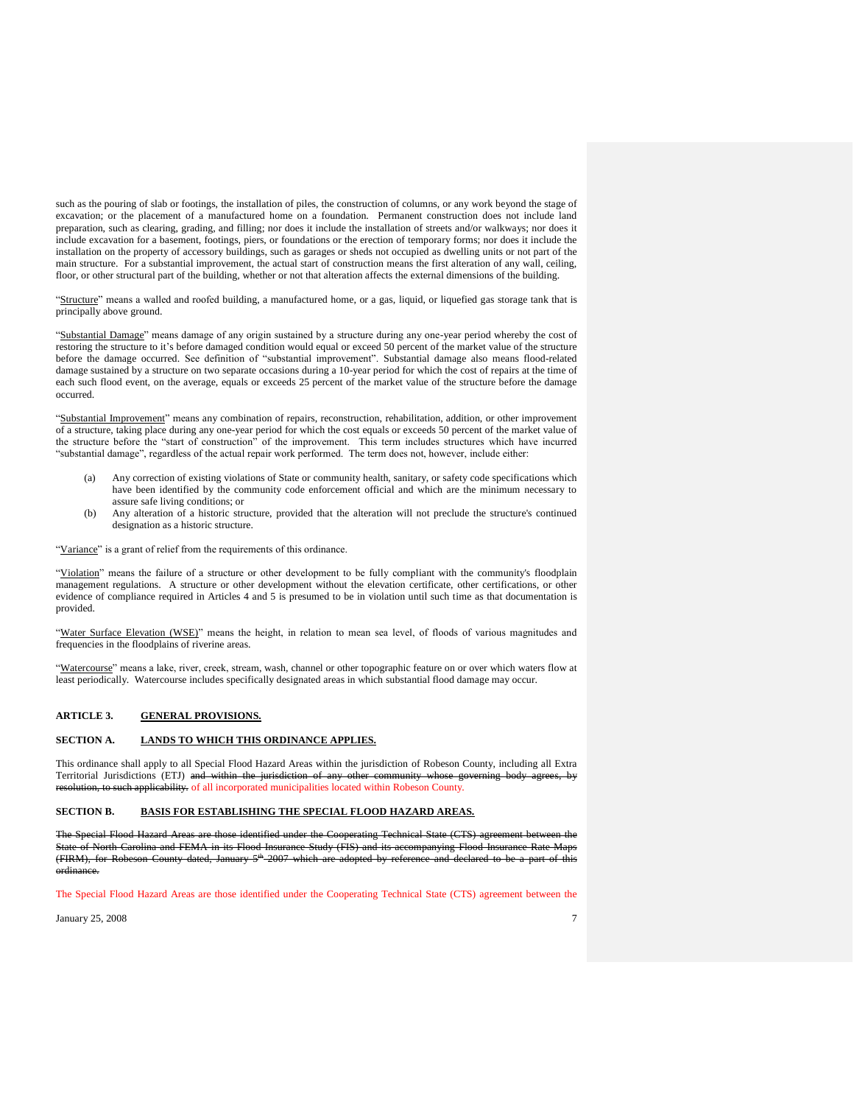such as the pouring of slab or footings, the installation of piles, the construction of columns, or any work beyond the stage of excavation; or the placement of a manufactured home on a foundation. Permanent construction does not include land preparation, such as clearing, grading, and filling; nor does it include the installation of streets and/or walkways; nor does it include excavation for a basement, footings, piers, or foundations or the erection of temporary forms; nor does it include the installation on the property of accessory buildings, such as garages or sheds not occupied as dwelling units or not part of the main structure. For a substantial improvement, the actual start of construction means the first alteration of any wall, ceiling, floor, or other structural part of the building, whether or not that alteration affects the external dimensions of the building.

"Structure" means a walled and roofed building, a manufactured home, or a gas, liquid, or liquefied gas storage tank that is principally above ground.

"Substantial Damage" means damage of any origin sustained by a structure during any one-year period whereby the cost of restoring the structure to it's before damaged condition would equal or exceed 50 percent of the market value of the structure before the damage occurred. See definition of "substantial improvement". Substantial damage also means flood-related damage sustained by a structure on two separate occasions during a 10-year period for which the cost of repairs at the time of each such flood event, on the average, equals or exceeds 25 percent of the market value of the structure before the damage occurred.

"Substantial Improvement" means any combination of repairs, reconstruction, rehabilitation, addition, or other improvement of a structure, taking place during any one-year period for which the cost equals or exceeds 50 percent of the market value of the structure before the "start of construction" of the improvement. This term includes structures which have incurred "substantial damage", regardless of the actual repair work performed. The term does not, however, include either:

- Any correction of existing violations of State or community health, sanitary, or safety code specifications which have been identified by the community code enforcement official and which are the minimum necessary to assure safe living conditions; or
- (b) Any alteration of a historic structure, provided that the alteration will not preclude the structure's continued designation as a historic structure.

"Variance" is a grant of relief from the requirements of this ordinance.

"Violation" means the failure of a structure or other development to be fully compliant with the community's floodplain management regulations. A structure or other development without the elevation certificate, other certifications, or other evidence of compliance required in Articles 4 and 5 is presumed to be in violation until such time as that documentation is provided.

"Water Surface Elevation (WSE)" means the height, in relation to mean sea level, of floods of various magnitudes and frequencies in the floodplains of riverine areas.

"Watercourse" means a lake, river, creek, stream, wash, channel or other topographic feature on or over which waters flow at least periodically. Watercourse includes specifically designated areas in which substantial flood damage may occur.

#### **ARTICLE 3. GENERAL PROVISIONS.**

#### **SECTION A. LANDS TO WHICH THIS ORDINANCE APPLIES.**

This ordinance shall apply to all Special Flood Hazard Areas within the jurisdiction of Robeson County, including all Extra Territorial Jurisdictions (ETJ) and within the jurisdiction of any other community whose governing body agrees, applicability. of all incorporated municipalities located within Robeson County.

#### **SECTION B. BASIS FOR ESTABLISHING THE SPECIAL FLOOD HAZARD AREAS.**

The Special Flood Ha State of North Carolina and FEMA in its Flood Insurance Study (FIS) and its accompanying Flood Insurance Rate Maps (FIRM), for Robeson County dated, January 5<sup>th</sup> 2007 which are adopted by reference and declared to be a part of this ordinance.

The Special Flood Hazard Areas are those identified under the Cooperating Technical State (CTS) agreement between the

 $J_{\text{anuary}}$  25, 2008  $\qquad \qquad$  7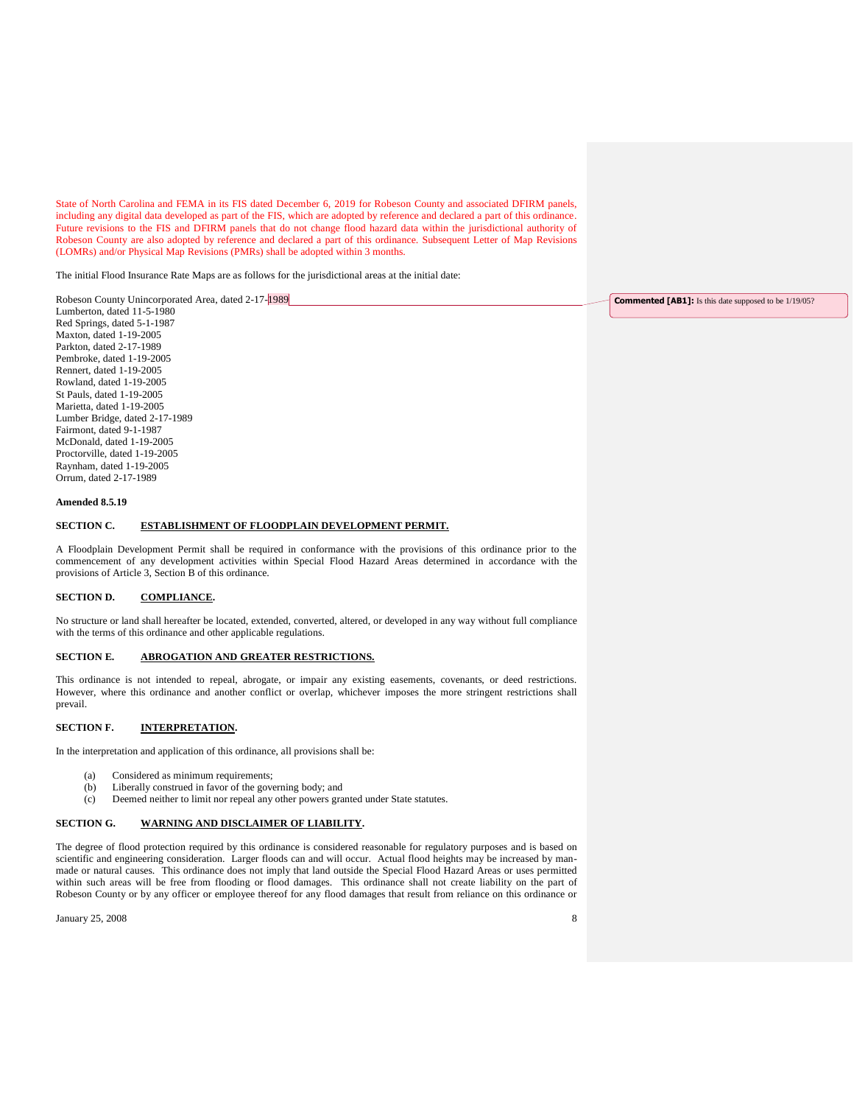State of North Carolina and FEMA in its FIS dated December 6, 2019 for Robeson County and associated DFIRM panels, including any digital data developed as part of the FIS, which are adopted by reference and declared a part of this ordinance. Future revisions to the FIS and DFIRM panels that do not change flood hazard data within the jurisdictional authority of Robeson County are also adopted by reference and declared a part of this ordinance. Subsequent Letter of Map Revisions (LOMRs) and/or Physical Map Revisions (PMRs) shall be adopted within 3 months.

The initial Flood Insurance Rate Maps are as follows for the jurisdictional areas at the initial date:

| Robeson County Unincorporated Area, dated 2-17-1989 | <b>Commented [AB1]:</b> Is this date supposed to be 1/19/05? |
|-----------------------------------------------------|--------------------------------------------------------------|
| Lumberton, dated 11-5-1980                          |                                                              |
| Red Springs, dated 5-1-1987                         |                                                              |

Red Springs, dated 5-1-1987 Maxton, dated 1-19-2005 Parkton, dated 2-17-1989 Pembroke, dated 1-19-2005 Rennert, dated 1-19-2005 Rowland, dated 1-19-2005 St Pauls, dated 1-19-2005 Marietta, dated 1-19-2005 Lumber Bridge, dated 2-17-1989 Fairmont, dated 9-1-1987 McDonald, dated 1-19-2005 Proctorville, dated 1-19-2005 Raynham, dated 1-19-2005 Orrum, dated 2-17-1989

#### **Amended 8.5.19**

## **SECTION C. ESTABLISHMENT OF FLOODPLAIN DEVELOPMENT PERMIT.**

A Floodplain Development Permit shall be required in conformance with the provisions of this ordinance prior to the commencement of any development activities within Special Flood Hazard Areas determined in accordance with the provisions of Article 3, Section B of this ordinance.

### **SECTION D. COMPLIANCE.**

No structure or land shall hereafter be located, extended, converted, altered, or developed in any way without full compliance with the terms of this ordinance and other applicable regulations.

## **SECTION E. ABROGATION AND GREATER RESTRICTIONS.**

This ordinance is not intended to repeal, abrogate, or impair any existing easements, covenants, or deed restrictions. However, where this ordinance and another conflict or overlap, whichever imposes the more stringent restrictions shall prevail.

## **SECTION F. INTERPRETATION.**

In the interpretation and application of this ordinance, all provisions shall be:

- (a) Considered as minimum requirements;
- (b) Liberally construed in favor of the governing body; and
- (c) Deemed neither to limit nor repeal any other powers granted under State statutes.

#### **SECTION G. WARNING AND DISCLAIMER OF LIABILITY.**

The degree of flood protection required by this ordinance is considered reasonable for regulatory purposes and is based on scientific and engineering consideration. Larger floods can and will occur. Actual flood heights may be increased by manmade or natural causes. This ordinance does not imply that land outside the Special Flood Hazard Areas or uses permitted within such areas will be free from flooding or flood damages. This ordinance shall not create liability on the part of Robeson County or by any officer or employee thereof for any flood damages that result from reliance on this ordinance or

 $J_{\text{anuary}}$  25, 2008 8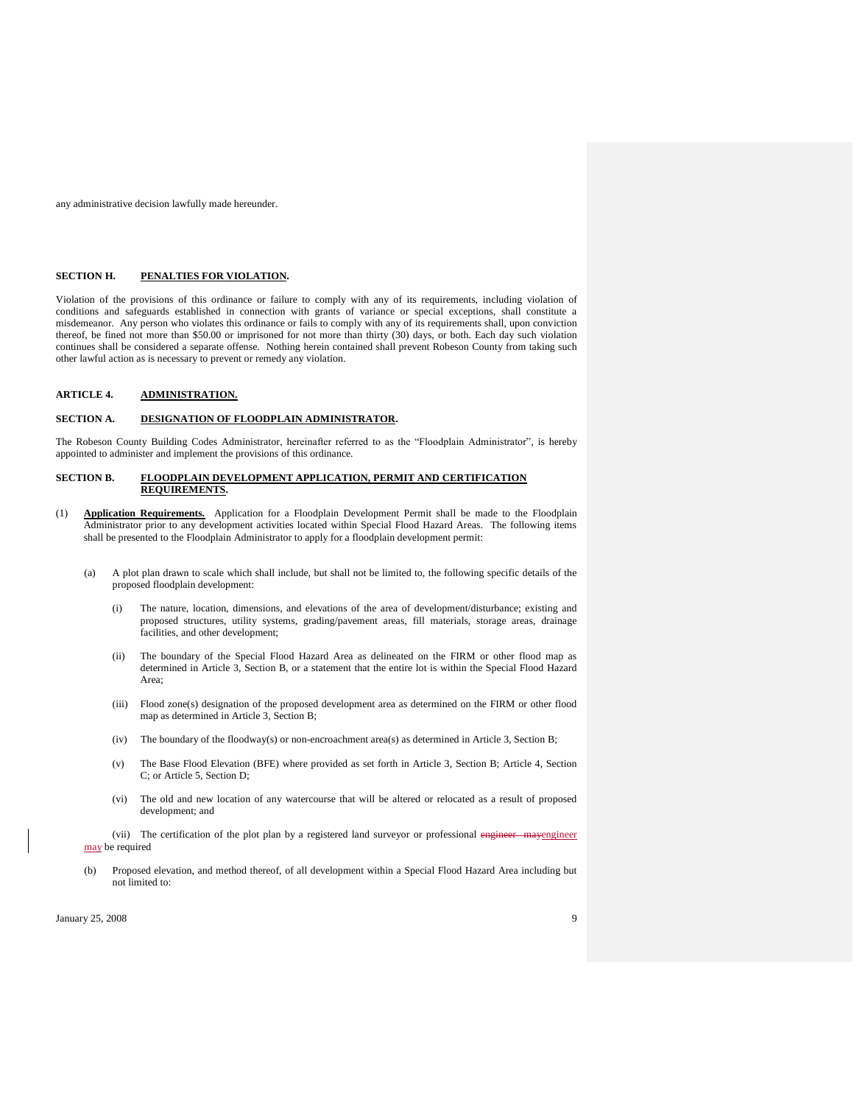any administrative decision lawfully made hereunder.

#### **SECTION H. PENALTIES FOR VIOLATION.**

Violation of the provisions of this ordinance or failure to comply with any of its requirements, including violation of conditions and safeguards established in connection with grants of variance or special exceptions, shall constitute a misdemeanor. Any person who violates this ordinance or fails to comply with any of its requirements shall, upon conviction thereof, be fined not more than \$50.00 or imprisoned for not more than thirty (30) days, or both. Each day such violation continues shall be considered a separate offense. Nothing herein contained shall prevent Robeson County from taking such other lawful action as is necessary to prevent or remedy any violation.

### **ARTICLE 4. ADMINISTRATION.**

#### **SECTION A. DESIGNATION OF FLOODPLAIN ADMINISTRATOR.**

The Robeson County Building Codes Administrator, hereinafter referred to as the "Floodplain Administrator", is hereby appointed to administer and implement the provisions of this ordinance.

#### **SECTION B. FLOODPLAIN DEVELOPMENT APPLICATION, PERMIT AND CERTIFICATION REQUIREMENTS.**

- (1) **Application Requirements.** Application for a Floodplain Development Permit shall be made to the Floodplain Administrator prior to any development activities located within Special Flood Hazard Areas. The following items shall be presented to the Floodplain Administrator to apply for a floodplain development permit:
	- (a) A plot plan drawn to scale which shall include, but shall not be limited to, the following specific details of the proposed floodplain development:
		- (i) The nature, location, dimensions, and elevations of the area of development/disturbance; existing and proposed structures, utility systems, grading/pavement areas, fill materials, storage areas, drainage facilities, and other development;
		- (ii) The boundary of the Special Flood Hazard Area as delineated on the FIRM or other flood map as determined in Article 3, Section B, or a statement that the entire lot is within the Special Flood Hazard Area;
		- (iii) Flood zone(s) designation of the proposed development area as determined on the FIRM or other flood map as determined in Article 3, Section B;
		- (iv) The boundary of the floodway(s) or non-encroachment area(s) as determined in Article 3, Section B;
		- (v) The Base Flood Elevation (BFE) where provided as set forth in Article 3, Section B; Article 4, Section C; or Article 5, Section D;
		- (vi) The old and new location of any watercourse that will be altered or relocated as a result of proposed development; and

(vii) The certification of the plot plan by a registered land surveyor or professional engineer mayengineer may be required

(b) Proposed elevation, and method thereof, of all development within a Special Flood Hazard Area including but not limited to: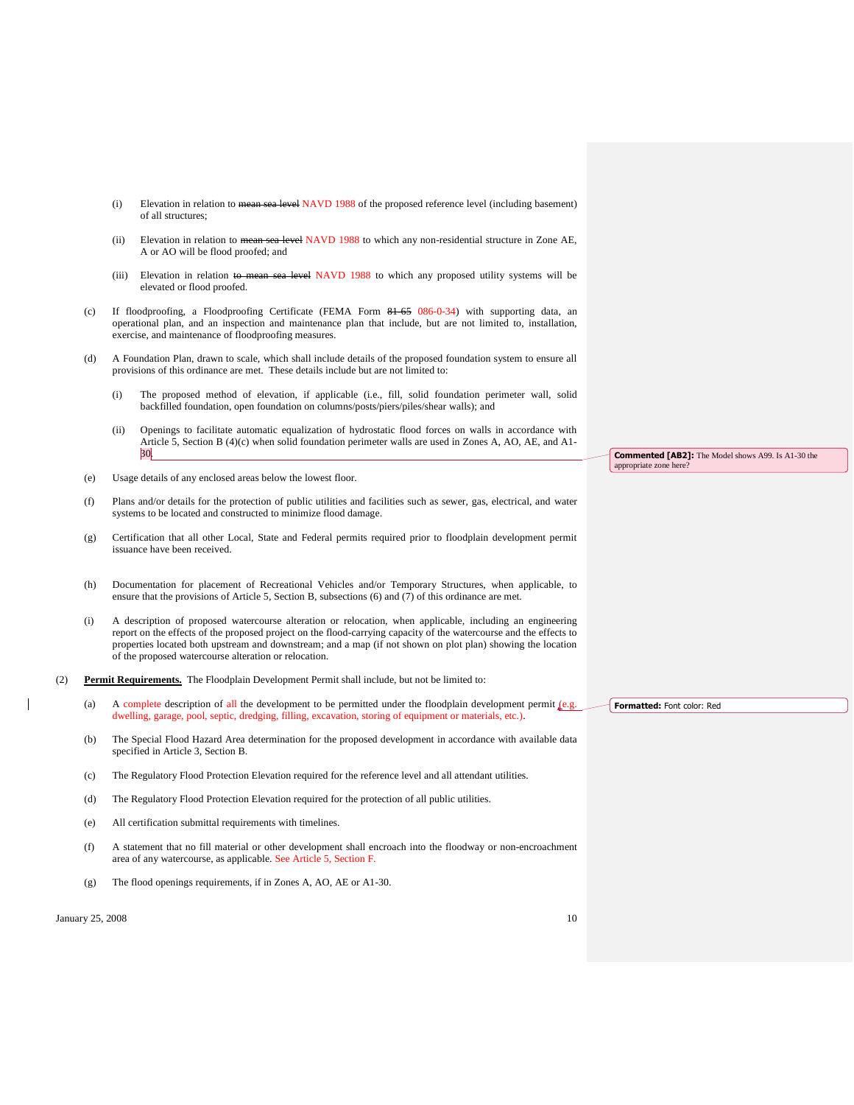- (i) Elevation in relation to mean sea level NAVD 1988 of the proposed reference level (including basement) of all structures;
- (ii) Elevation in relation to mean sea level NAVD 1988 to which any non-residential structure in Zone AE, A or AO will be flood proofed; and
- (iii) Elevation in relation to mean sea level NAVD 1988 to which any proposed utility systems will be elevated or flood proofed.
- (c) If floodproofing, a Floodproofing Certificate (FEMA Form 81-65 086-0-34) with supporting data, an operational plan, and an inspection and maintenance plan that include, but are not limited to, installation, exercise, and maintenance of floodproofing measures.
- (d) A Foundation Plan, drawn to scale, which shall include details of the proposed foundation system to ensure all provisions of this ordinance are met. These details include but are not limited to:
	- (i) The proposed method of elevation, if applicable (i.e., fill, solid foundation perimeter wall, solid backfilled foundation, open foundation on columns/posts/piers/piles/shear walls); and
	- (ii) Openings to facilitate automatic equalization of hydrostatic flood forces on walls in accordance with Article 5, Section B (4)(c) when solid foundation perimeter walls are used in Zones A, AO, AE, and A1- 30.
- (e) Usage details of any enclosed areas below the lowest floor.
- (f) Plans and/or details for the protection of public utilities and facilities such as sewer, gas, electrical, and water systems to be located and constructed to minimize flood damage.
- (g) Certification that all other Local, State and Federal permits required prior to floodplain development permit issuance have been received.
- (h) Documentation for placement of Recreational Vehicles and/or Temporary Structures, when applicable, to ensure that the provisions of Article 5, Section B, subsections (6) and (7) of this ordinance are met.
- (i) A description of proposed watercourse alteration or relocation, when applicable, including an engineering report on the effects of the proposed project on the flood-carrying capacity of the watercourse and the effects to properties located both upstream and downstream; and a map (if not shown on plot plan) showing the location of the proposed watercourse alteration or relocation.
- (2) **Permit Requirements.** The Floodplain Development Permit shall include, but not be limited to:
	- (a) A complete description of all the development to be permitted under the floodplain development permit  $[$ e.g. dwelling, garage, pool, septic, dredging, filling, excavation, storing of equipment or materials, etc.).
	- (b) The Special Flood Hazard Area determination for the proposed development in accordance with available data specified in Article 3, Section B.
	- (c) The Regulatory Flood Protection Elevation required for the reference level and all attendant utilities.
	- (d) The Regulatory Flood Protection Elevation required for the protection of all public utilities.
	- (e) All certification submittal requirements with timelines.
	- (f) A statement that no fill material or other development shall encroach into the floodway or non-encroachment area of any watercourse, as applicable. See Article 5, Section F.
	- (g) The flood openings requirements, if in Zones A, AO, AE or A1-30.

**Commented [AB2]:** The Model shows A99. Is A1-30 the appropriate zone here?

**Formatted:** Font color: Red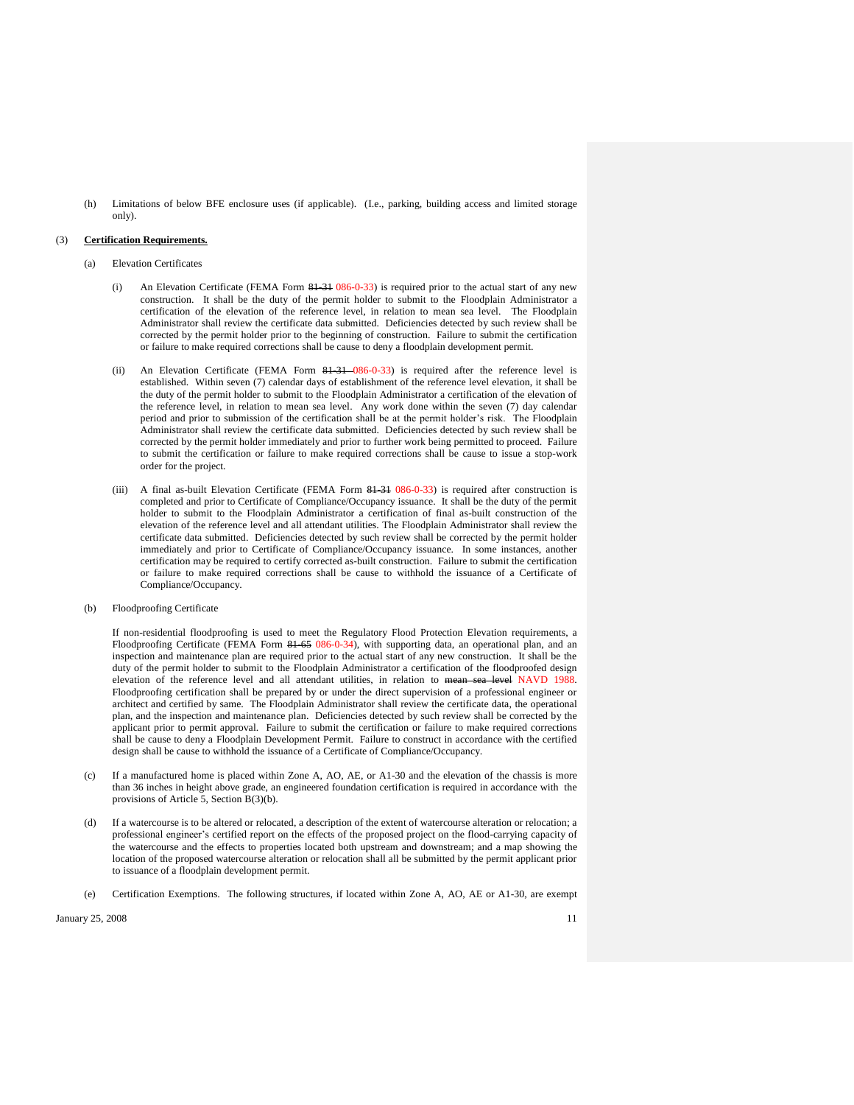(h) Limitations of below BFE enclosure uses (if applicable). (I.e., parking, building access and limited storage only).

#### (3) **Certification Requirements.**

- (a) Elevation Certificates
	- An Elevation Certificate (FEMA Form 81-31 086-0-33) is required prior to the actual start of any new construction. It shall be the duty of the permit holder to submit to the Floodplain Administrator a certification of the elevation of the reference level, in relation to mean sea level. The Floodplain Administrator shall review the certificate data submitted. Deficiencies detected by such review shall be corrected by the permit holder prior to the beginning of construction. Failure to submit the certification or failure to make required corrections shall be cause to deny a floodplain development permit.
	- (ii) An Elevation Certificate (FEMA Form 81-31 086-0-33) is required after the reference level is established. Within seven (7) calendar days of establishment of the reference level elevation, it shall be the duty of the permit holder to submit to the Floodplain Administrator a certification of the elevation of the reference level, in relation to mean sea level. Any work done within the seven (7) day calendar period and prior to submission of the certification shall be at the permit holder's risk. The Floodplain Administrator shall review the certificate data submitted. Deficiencies detected by such review shall be corrected by the permit holder immediately and prior to further work being permitted to proceed. Failure to submit the certification or failure to make required corrections shall be cause to issue a stop-work order for the project*.*
	- (iii) A final as-built Elevation Certificate (FEMA Form 81-31 086-0-33) is required after construction is completed and prior to Certificate of Compliance/Occupancy issuance. It shall be the duty of the permit holder to submit to the Floodplain Administrator a certification of final as-built construction of the elevation of the reference level and all attendant utilities. The Floodplain Administrator shall review the certificate data submitted. Deficiencies detected by such review shall be corrected by the permit holder immediately and prior to Certificate of Compliance/Occupancy issuance. In some instances, another certification may be required to certify corrected as-built construction. Failure to submit the certification or failure to make required corrections shall be cause to withhold the issuance of a Certificate of Compliance/Occupancy.
- (b) Floodproofing Certificate

If non-residential floodproofing is used to meet the Regulatory Flood Protection Elevation requirements, a Floodproofing Certificate (FEMA Form 81-65 086-0-34), with supporting data, an operational plan, and an inspection and maintenance plan are required prior to the actual start of any new construction. It shall be the duty of the permit holder to submit to the Floodplain Administrator a certification of the floodproofed design elevation of the reference level and all attendant utilities, in relation to mean sea level NAVD 1988. Floodproofing certification shall be prepared by or under the direct supervision of a professional engineer or architect and certified by same. The Floodplain Administrator shall review the certificate data, the operational plan, and the inspection and maintenance plan. Deficiencies detected by such review shall be corrected by the applicant prior to permit approval. Failure to submit the certification or failure to make required corrections shall be cause to deny a Floodplain Development Permit. Failure to construct in accordance with the certified design shall be cause to withhold the issuance of a Certificate of Compliance/Occupancy.

- (c) If a manufactured home is placed within Zone A, AO, AE, or A1-30 and the elevation of the chassis is more than 36 inches in height above grade, an engineered foundation certification is required in accordance with the provisions of Article 5, Section B(3)(b).
- (d) If a watercourse is to be altered or relocated, a description of the extent of watercourse alteration or relocation; a professional engineer's certified report on the effects of the proposed project on the flood-carrying capacity of the watercourse and the effects to properties located both upstream and downstream; and a map showing the location of the proposed watercourse alteration or relocation shall all be submitted by the permit applicant prior to issuance of a floodplain development permit.
- Certification Exemptions. The following structures, if located within Zone A, AO, AE or A1-30, are exempt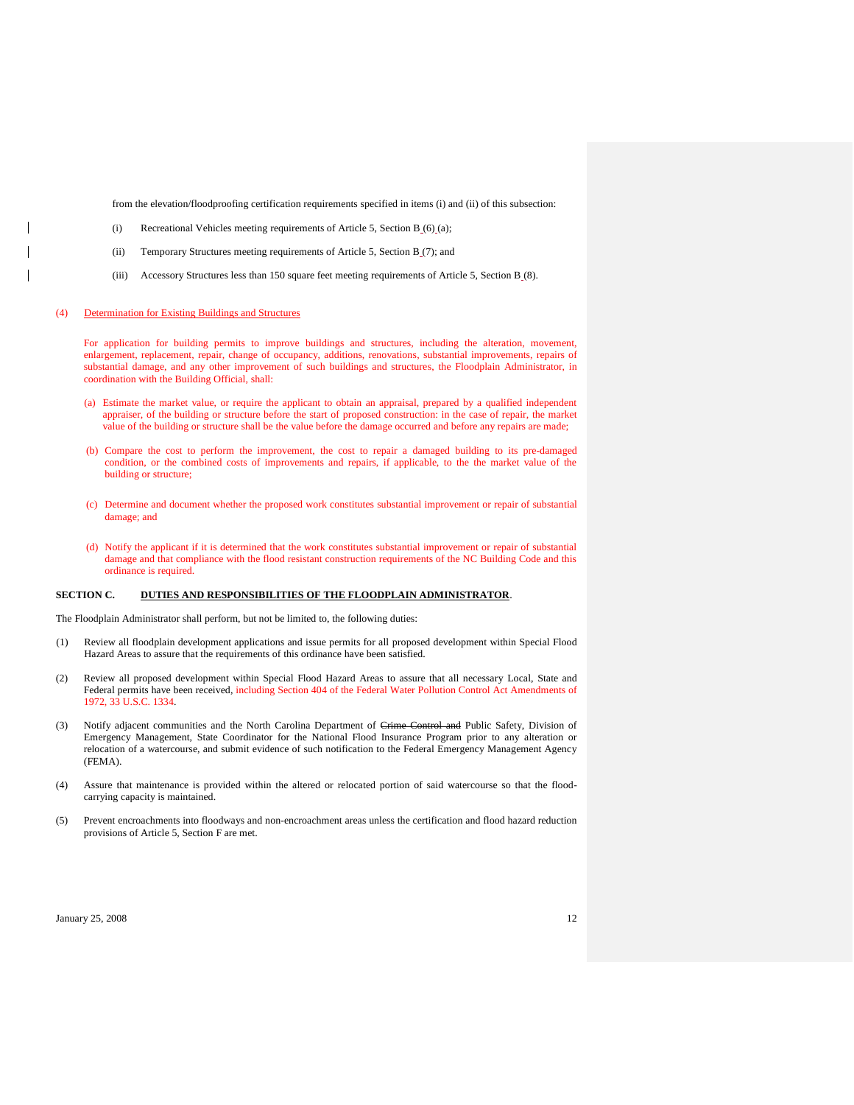from the elevation/floodproofing certification requirements specified in items (i) and (ii) of this subsection:

- (i) Recreational Vehicles meeting requirements of Article 5, Section  $B_0(6)(a)$ ;
- (ii) Temporary Structures meeting requirements of Article 5, Section B (7); and
- (iii) Accessory Structures less than 150 square feet meeting requirements of Article 5, Section B<sub>\_(8)</sub>.

### (4) Determination for Existing Buildings and Structures

For application for building permits to improve buildings and structures, including the alteration, movement, enlargement, replacement, repair, change of occupancy, additions, renovations, substantial improvements, repairs of substantial damage, and any other improvement of such buildings and structures, the Floodplain Administrator, in coordination with the Building Official, shall:

- (a) Estimate the market value, or require the applicant to obtain an appraisal, prepared by a qualified independent appraiser, of the building or structure before the start of proposed construction: in the case of repair, the market value of the building or structure shall be the value before the damage occurred and before any repairs are made;
- (b) Compare the cost to perform the improvement, the cost to repair a damaged building to its pre-damaged condition, or the combined costs of improvements and repairs, if applicable, to the the market value of the building or structure;
- (c) Determine and document whether the proposed work constitutes substantial improvement or repair of substantial damage; and
- (d) Notify the applicant if it is determined that the work constitutes substantial improvement or repair of substantial damage and that compliance with the flood resistant construction requirements of the NC Building Code and this ordinance is required.

## **SECTION C. DUTIES AND RESPONSIBILITIES OF THE FLOODPLAIN ADMINISTRATOR**.

The Floodplain Administrator shall perform, but not be limited to, the following duties:

- (1) Review all floodplain development applications and issue permits for all proposed development within Special Flood Hazard Areas to assure that the requirements of this ordinance have been satisfied.
- (2) Review all proposed development within Special Flood Hazard Areas to assure that all necessary Local, State and Federal permits have been received, including Section 404 of the Federal Water Pollution Control Act Amendments of 1972, 33 U.S.C. 1334.
- (3) Notify adjacent communities and the North Carolina Department of Crime Control and Public Safety, Division of Emergency Management, State Coordinator for the National Flood Insurance Program prior to any alteration or relocation of a watercourse, and submit evidence of such notification to the Federal Emergency Management Agency (FEMA).
- (4) Assure that maintenance is provided within the altered or relocated portion of said watercourse so that the floodcarrying capacity is maintained.
- (5) Prevent encroachments into floodways and non-encroachment areas unless the certification and flood hazard reduction provisions of Article 5, Section F are met.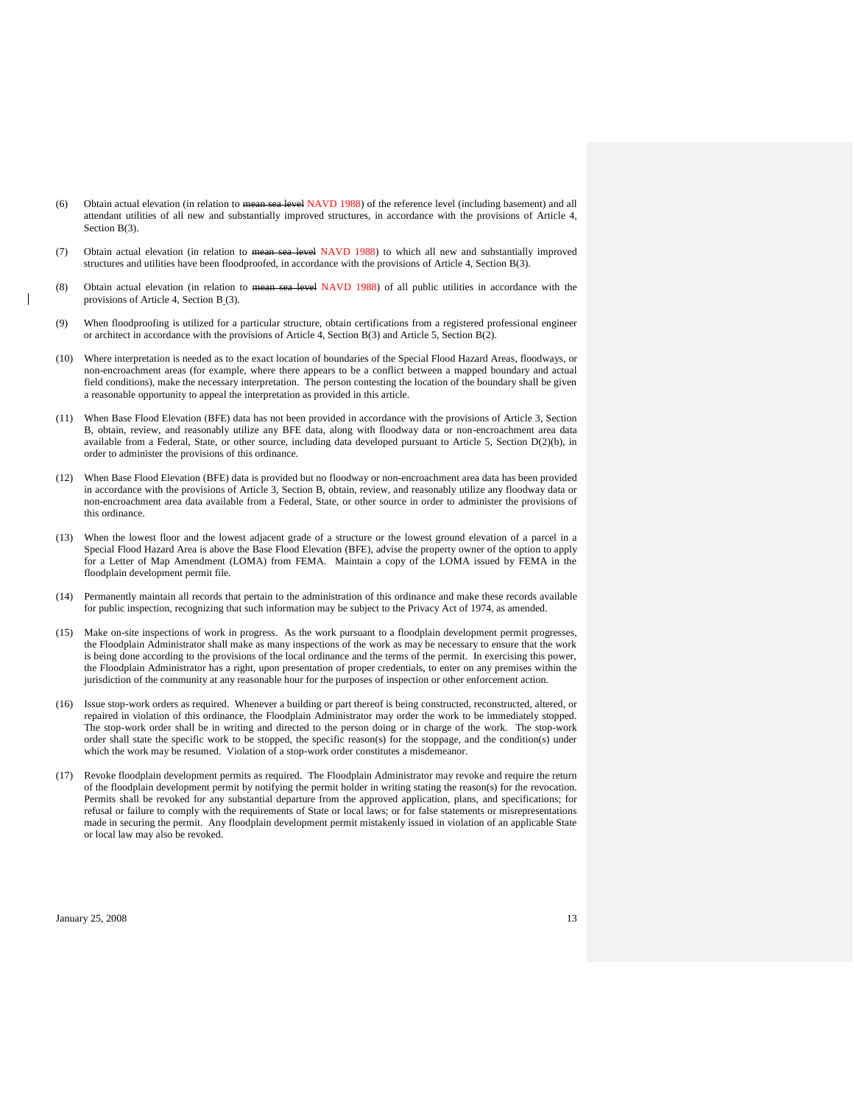- (6) Obtain actual elevation (in relation to mean sea level NAVD 1988) of the reference level (including basement) and all attendant utilities of all new and substantially improved structures, in accordance with the provisions of Article 4, Section B<sub>(3)</sub>.
- (7) Obtain actual elevation (in relation to mean sea level NAVD 1988) to which all new and substantially improved structures and utilities have been floodproofed, in accordance with the provisions of Article 4, Section B(3).
- (8) Obtain actual elevation (in relation to mean sea level NAVD 1988) of all public utilities in accordance with the provisions of Article 4, Section B (3).
- (9) When floodproofing is utilized for a particular structure, obtain certifications from a registered professional engineer or architect in accordance with the provisions of Article 4, Section B(3) and Article 5, Section B(2).
- (10) Where interpretation is needed as to the exact location of boundaries of the Special Flood Hazard Areas, floodways, or non-encroachment areas (for example, where there appears to be a conflict between a mapped boundary and actual field conditions), make the necessary interpretation. The person contesting the location of the boundary shall be given a reasonable opportunity to appeal the interpretation as provided in this article.
- (11) When Base Flood Elevation (BFE) data has not been provided in accordance with the provisions of Article 3, Section B, obtain, review, and reasonably utilize any BFE data, along with floodway data or non-encroachment area data available from a Federal, State, or other source, including data developed pursuant to Article 5, Section D(2)(b), in order to administer the provisions of this ordinance.
- (12) When Base Flood Elevation (BFE) data is provided but no floodway or non-encroachment area data has been provided in accordance with the provisions of Article 3, Section B, obtain, review, and reasonably utilize any floodway data or non-encroachment area data available from a Federal, State, or other source in order to administer the provisions of this ordinance.
- (13) When the lowest floor and the lowest adjacent grade of a structure or the lowest ground elevation of a parcel in a Special Flood Hazard Area is above the Base Flood Elevation (BFE), advise the property owner of the option to apply for a Letter of Map Amendment (LOMA) from FEMA. Maintain a copy of the LOMA issued by FEMA in the floodplain development permit file*.*
- (14) Permanently maintain all records that pertain to the administration of this ordinance and make these records available for public inspection, recognizing that such information may be subject to the Privacy Act of 1974, as amended.
- (15) Make on-site inspections of work in progress. As the work pursuant to a floodplain development permit progresses, the Floodplain Administrator shall make as many inspections of the work as may be necessary to ensure that the work is being done according to the provisions of the local ordinance and the terms of the permit. In exercising this power, the Floodplain Administrator has a right, upon presentation of proper credentials, to enter on any premises within the jurisdiction of the community at any reasonable hour for the purposes of inspection or other enforcement action.
- (16) Issue stop-work orders as required. Whenever a building or part thereof is being constructed, reconstructed, altered, or repaired in violation of this ordinance, the Floodplain Administrator may order the work to be immediately stopped. The stop-work order shall be in writing and directed to the person doing or in charge of the work. The stop-work order shall state the specific work to be stopped, the specific reason(s) for the stoppage, and the condition(s) under which the work may be resumed. Violation of a stop-work order constitutes a misdemeanor.
- (17) Revoke floodplain development permits as required. The Floodplain Administrator may revoke and require the return of the floodplain development permit by notifying the permit holder in writing stating the reason(s) for the revocation. Permits shall be revoked for any substantial departure from the approved application, plans, and specifications; for refusal or failure to comply with the requirements of State or local laws; or for false statements or misrepresentations made in securing the permit. Any floodplain development permit mistakenly issued in violation of an applicable State or local law may also be revoked.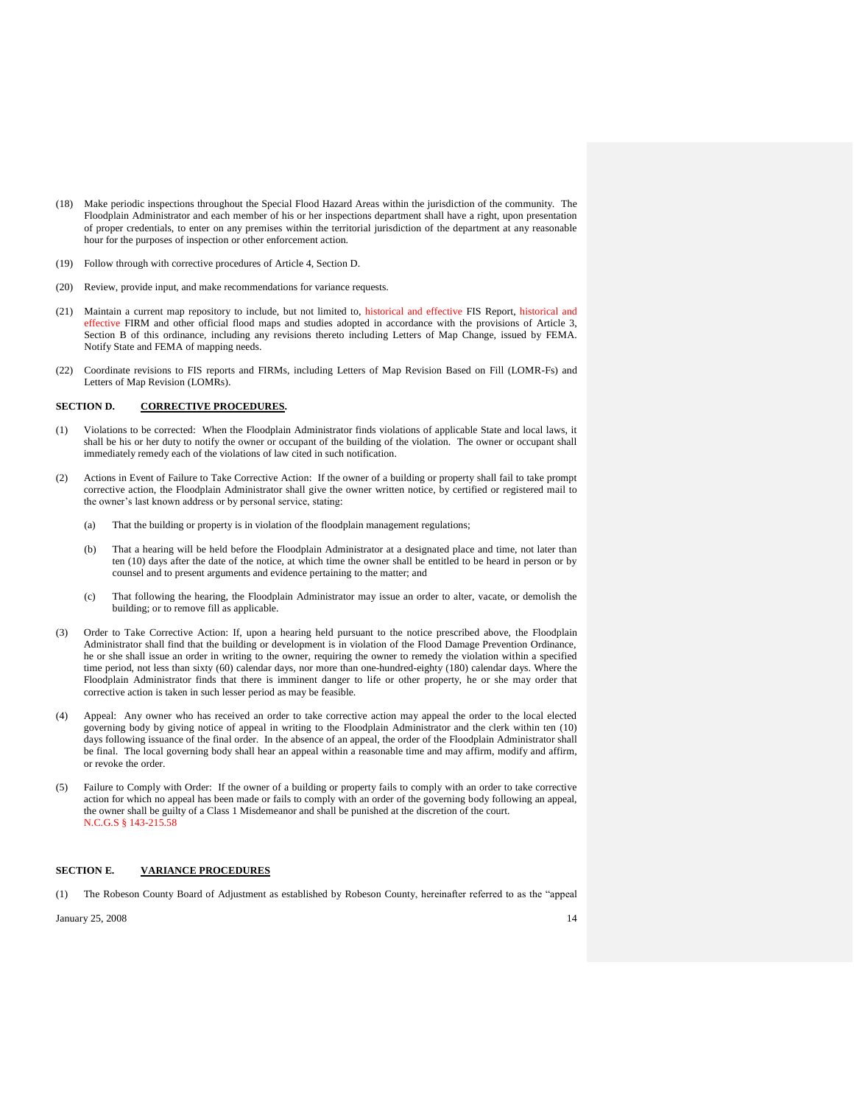- (18) Make periodic inspections throughout the Special Flood Hazard Areas within the jurisdiction of the community. The Floodplain Administrator and each member of his or her inspections department shall have a right, upon presentation of proper credentials, to enter on any premises within the territorial jurisdiction of the department at any reasonable hour for the purposes of inspection or other enforcement action.
- (19) Follow through with corrective procedures of Article 4, Section D.
- (20) Review, provide input, and make recommendations for variance requests.
- (21) Maintain a current map repository to include, but not limited to, historical and effective FIS Report, historical and effective FIRM and other official flood maps and studies adopted in accordance with the provisions of Article 3, Section B of this ordinance, including any revisions thereto including Letters of Map Change, issued by FEMA. Notify State and FEMA of mapping needs.
- (22) Coordinate revisions to FIS reports and FIRMs, including Letters of Map Revision Based on Fill (LOMR-Fs) and Letters of Map Revision (LOMRs).

## **SECTION D. CORRECTIVE PROCEDURES.**

- (1) Violations to be corrected: When the Floodplain Administrator finds violations of applicable State and local laws, it shall be his or her duty to notify the owner or occupant of the building of the violation. The owner or occupant shall immediately remedy each of the violations of law cited in such notification.
- (2) Actions in Event of Failure to Take Corrective Action: If the owner of a building or property shall fail to take prompt corrective action, the Floodplain Administrator shall give the owner written notice, by certified or registered mail to the owner's last known address or by personal service, stating:
	- (a) That the building or property is in violation of the floodplain management regulations;
	- (b) That a hearing will be held before the Floodplain Administrator at a designated place and time, not later than ten (10) days after the date of the notice, at which time the owner shall be entitled to be heard in person or by counsel and to present arguments and evidence pertaining to the matter; and
	- (c) That following the hearing, the Floodplain Administrator may issue an order to alter, vacate, or demolish the building; or to remove fill as applicable.
- (3) Order to Take Corrective Action: If, upon a hearing held pursuant to the notice prescribed above, the Floodplain Administrator shall find that the building or development is in violation of the Flood Damage Prevention Ordinance, he or she shall issue an order in writing to the owner, requiring the owner to remedy the violation within a specified time period, not less than sixty (60) calendar days, nor more than one-hundred-eighty (180) calendar days. Where the Floodplain Administrator finds that there is imminent danger to life or other property, he or she may order that corrective action is taken in such lesser period as may be feasible.
- (4) Appeal: Any owner who has received an order to take corrective action may appeal the order to the local elected governing body by giving notice of appeal in writing to the Floodplain Administrator and the clerk within ten (10) days following issuance of the final order. In the absence of an appeal, the order of the Floodplain Administrator shall be final. The local governing body shall hear an appeal within a reasonable time and may affirm, modify and affirm, or revoke the order.
- Failure to Comply with Order: If the owner of a building or property fails to comply with an order to take corrective action for which no appeal has been made or fails to comply with an order of the governing body following an appeal, the owner shall be guilty of a Class 1 Misdemeanor and shall be punished at the discretion of the court. N.C.G.S § 143-215.58

### **SECTION E. VARIANCE PROCEDURES**

(1) The Robeson County Board of Adjustment as established by Robeson County, hereinafter referred to as the "appeal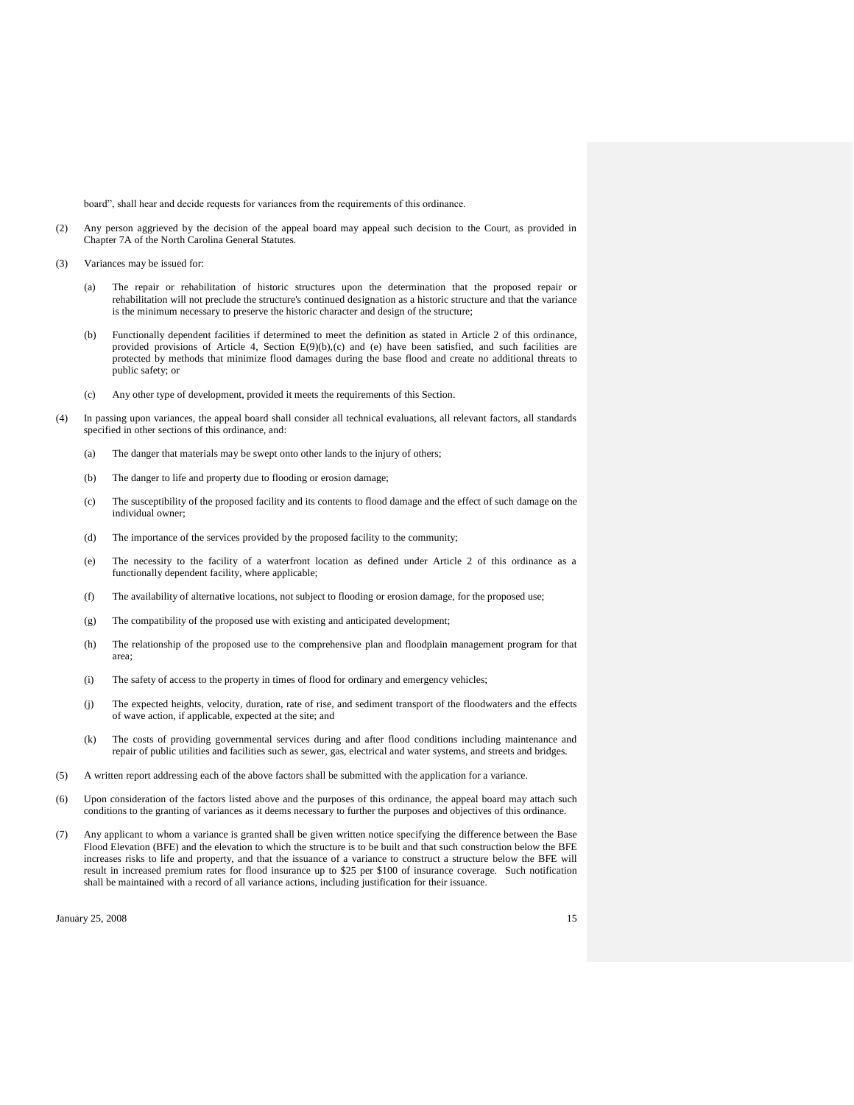board", shall hear and decide requests for variances from the requirements of this ordinance.

- (2) Any person aggrieved by the decision of the appeal board may appeal such decision to the Court, as provided in Chapter 7A of the North Carolina General Statutes.
- (3) Variances may be issued for:
	- (a) The repair or rehabilitation of historic structures upon the determination that the proposed repair or rehabilitation will not preclude the structure's continued designation as a historic structure and that the variance is the minimum necessary to preserve the historic character and design of the structure;
	- (b) Functionally dependent facilities if determined to meet the definition as stated in Article 2 of this ordinance, provided provisions of Article 4, Section E(9)(b),(c) and (e) have been satisfied, and such facilities are protected by methods that minimize flood damages during the base flood and create no additional threats to public safety; or
	- (c) Any other type of development, provided it meets the requirements of this Section.
- (4) In passing upon variances, the appeal board shall consider all technical evaluations, all relevant factors, all standards specified in other sections of this ordinance, and:
	- (a) The danger that materials may be swept onto other lands to the injury of others;
	- (b) The danger to life and property due to flooding or erosion damage;
	- (c) The susceptibility of the proposed facility and its contents to flood damage and the effect of such damage on the individual owner;
	- (d) The importance of the services provided by the proposed facility to the community;
	- (e) The necessity to the facility of a waterfront location as defined under Article 2 of this ordinance as a functionally dependent facility, where applicable;
	- (f) The availability of alternative locations, not subject to flooding or erosion damage, for the proposed use;
	- (g) The compatibility of the proposed use with existing and anticipated development;
	- (h) The relationship of the proposed use to the comprehensive plan and floodplain management program for that area;
	- (i) The safety of access to the property in times of flood for ordinary and emergency vehicles;
	- (j) The expected heights, velocity, duration, rate of rise, and sediment transport of the floodwaters and the effects of wave action, if applicable, expected at the site; and
	- (k) The costs of providing governmental services during and after flood conditions including maintenance and repair of public utilities and facilities such as sewer, gas, electrical and water systems, and streets and bridges.
- (5) A written report addressing each of the above factors shall be submitted with the application for a variance.
- (6) Upon consideration of the factors listed above and the purposes of this ordinance, the appeal board may attach such conditions to the granting of variances as it deems necessary to further the purposes and objectives of this ordinance.
- (7) Any applicant to whom a variance is granted shall be given written notice specifying the difference between the Base Flood Elevation (BFE) and the elevation to which the structure is to be built and that such construction below the BFE increases risks to life and property, and that the issuance of a variance to construct a structure below the BFE will result in increased premium rates for flood insurance up to \$25 per \$100 of insurance coverage. Such notification shall be maintained with a record of all variance actions, including justification for their issuance.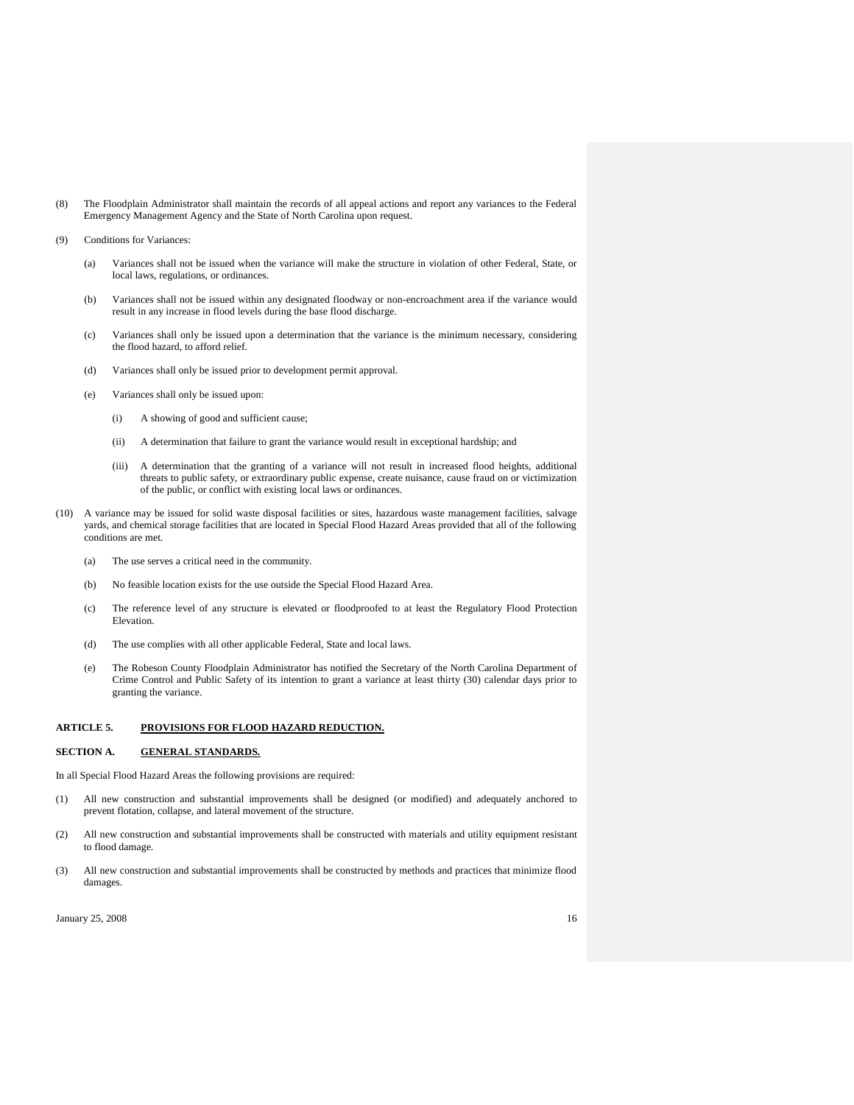- (8) The Floodplain Administrator shall maintain the records of all appeal actions and report any variances to the Federal Emergency Management Agency and the State of North Carolina upon request.
- (9) Conditions for Variances:
	- (a) Variances shall not be issued when the variance will make the structure in violation of other Federal, State, or local laws, regulations, or ordinances.
	- (b) Variances shall not be issued within any designated floodway or non-encroachment area if the variance would result in any increase in flood levels during the base flood discharge.
	- (c) Variances shall only be issued upon a determination that the variance is the minimum necessary, considering the flood hazard, to afford relief.
	- (d) Variances shall only be issued prior to development permit approval.
	- (e) Variances shall only be issued upon:
		- (i) A showing of good and sufficient cause;
		- (ii) A determination that failure to grant the variance would result in exceptional hardship; and
		- (iii) A determination that the granting of a variance will not result in increased flood heights, additional threats to public safety, or extraordinary public expense, create nuisance, cause fraud on or victimization of the public, or conflict with existing local laws or ordinances.
- (10) A variance may be issued for solid waste disposal facilities or sites, hazardous waste management facilities, salvage yards, and chemical storage facilities that are located in Special Flood Hazard Areas provided that all of the following conditions are met.
	- (a) The use serves a critical need in the community.
	- (b) No feasible location exists for the use outside the Special Flood Hazard Area.
	- (c) The reference level of any structure is elevated or floodproofed to at least the Regulatory Flood Protection Elevation.
	- (d) The use complies with all other applicable Federal, State and local laws.
	- (e) The Robeson County Floodplain Administrator has notified the Secretary of the North Carolina Department of Crime Control and Public Safety of its intention to grant a variance at least thirty (30) calendar days prior to granting the variance.

## **ARTICLE 5. PROVISIONS FOR FLOOD HAZARD REDUCTION.**

#### **SECTION A. GENERAL STANDARDS.**

In all Special Flood Hazard Areas the following provisions are required:

- (1) All new construction and substantial improvements shall be designed (or modified) and adequately anchored to prevent flotation, collapse, and lateral movement of the structure.
- (2) All new construction and substantial improvements shall be constructed with materials and utility equipment resistant to flood damage.
- (3) All new construction and substantial improvements shall be constructed by methods and practices that minimize flood damages.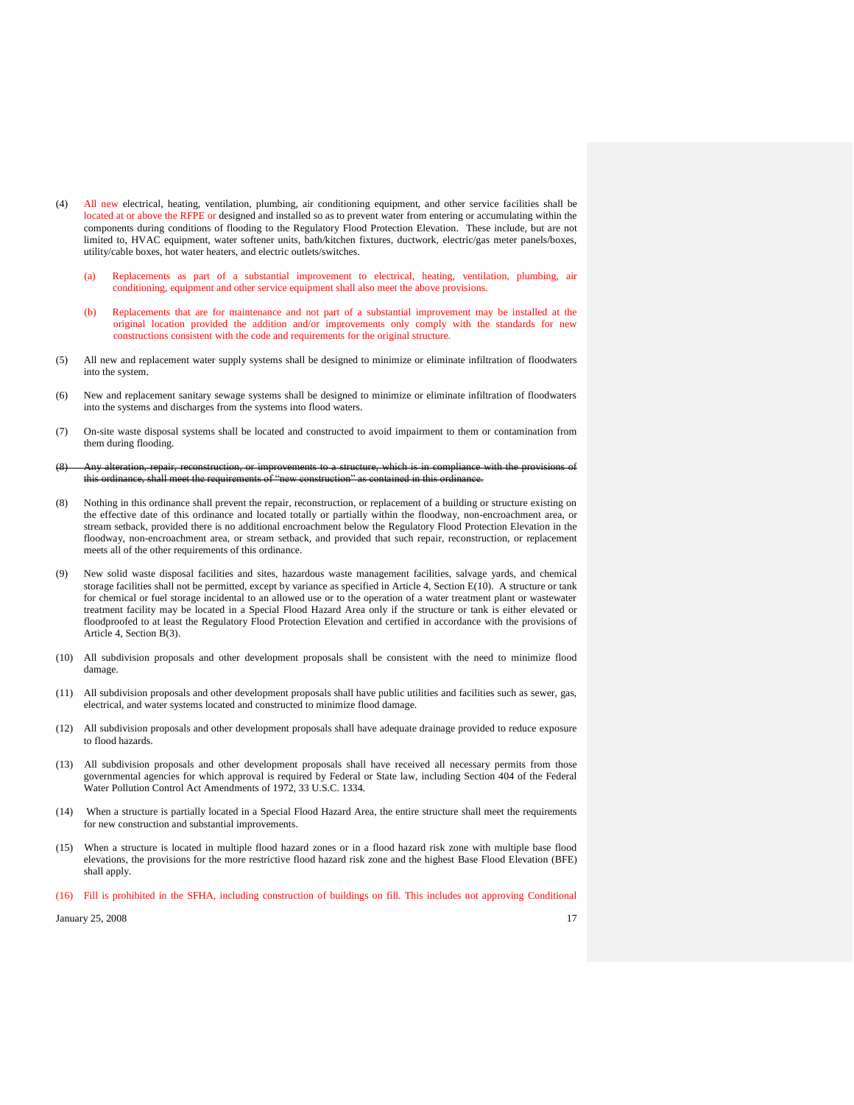- (4) All new electrical, heating, ventilation, plumbing, air conditioning equipment, and other service facilities shall be located at or above the RFPE or designed and installed so as to prevent water from entering or accumulating within the components during conditions of flooding to the Regulatory Flood Protection Elevation. These include, but are not limited to, HVAC equipment, water softener units, bath/kitchen fixtures, ductwork, electric/gas meter panels/boxes, utility/cable boxes, hot water heaters, and electric outlets/switches.
	- (a) Replacements as part of a substantial improvement to electrical, heating, ventilation, plumbing, air conditioning, equipment and other service equipment shall also meet the above provisions.
	- (b) Replacements that are for maintenance and not part of a substantial improvement may be installed at the original location provided the addition and/or improvements only comply with the standards for new constructions consistent with the code and requirements for the original structure.
- (5) All new and replacement water supply systems shall be designed to minimize or eliminate infiltration of floodwaters into the system.
- (6) New and replacement sanitary sewage systems shall be designed to minimize or eliminate infiltration of floodwaters into the systems and discharges from the systems into flood waters.
- (7) On-site waste disposal systems shall be located and constructed to avoid impairment to them or contamination from them during flooding.
- improvements to a structure, which this ordinance, shall meet the requirements of "new construction" as contained in this ordinance.
- (8) Nothing in this ordinance shall prevent the repair, reconstruction, or replacement of a building or structure existing on the effective date of this ordinance and located totally or partially within the floodway, non-encroachment area, or stream setback, provided there is no additional encroachment below the Regulatory Flood Protection Elevation in the floodway, non-encroachment area, or stream setback, and provided that such repair, reconstruction, or replacement meets all of the other requirements of this ordinance.
- (9) New solid waste disposal facilities and sites, hazardous waste management facilities, salvage yards, and chemical storage facilities shall not be permitted, except by variance as specified in Article 4, Section E(10). A structure or tank for chemical or fuel storage incidental to an allowed use or to the operation of a water treatment plant or wastewater treatment facility may be located in a Special Flood Hazard Area only if the structure or tank is either elevated or floodproofed to at least the Regulatory Flood Protection Elevation and certified in accordance with the provisions of Article 4, Section B(3).
- (10) All subdivision proposals and other development proposals shall be consistent with the need to minimize flood damage.
- (11) All subdivision proposals and other development proposals shall have public utilities and facilities such as sewer, gas, electrical, and water systems located and constructed to minimize flood damage.
- (12) All subdivision proposals and other development proposals shall have adequate drainage provided to reduce exposure to flood hazards.
- (13) All subdivision proposals and other development proposals shall have received all necessary permits from those governmental agencies for which approval is required by Federal or State law, including Section 404 of the Federal Water Pollution Control Act Amendments of 1972, 33 U.S.C. 1334.
- (14) When a structure is partially located in a Special Flood Hazard Area, the entire structure shall meet the requirements for new construction and substantial improvements.
- (15) When a structure is located in multiple flood hazard zones or in a flood hazard risk zone with multiple base flood elevations, the provisions for the more restrictive flood hazard risk zone and the highest Base Flood Elevation (BFE) shall apply.
- (16) Fill is prohibited in the SFHA, including construction of buildings on fill. This includes not approving Conditional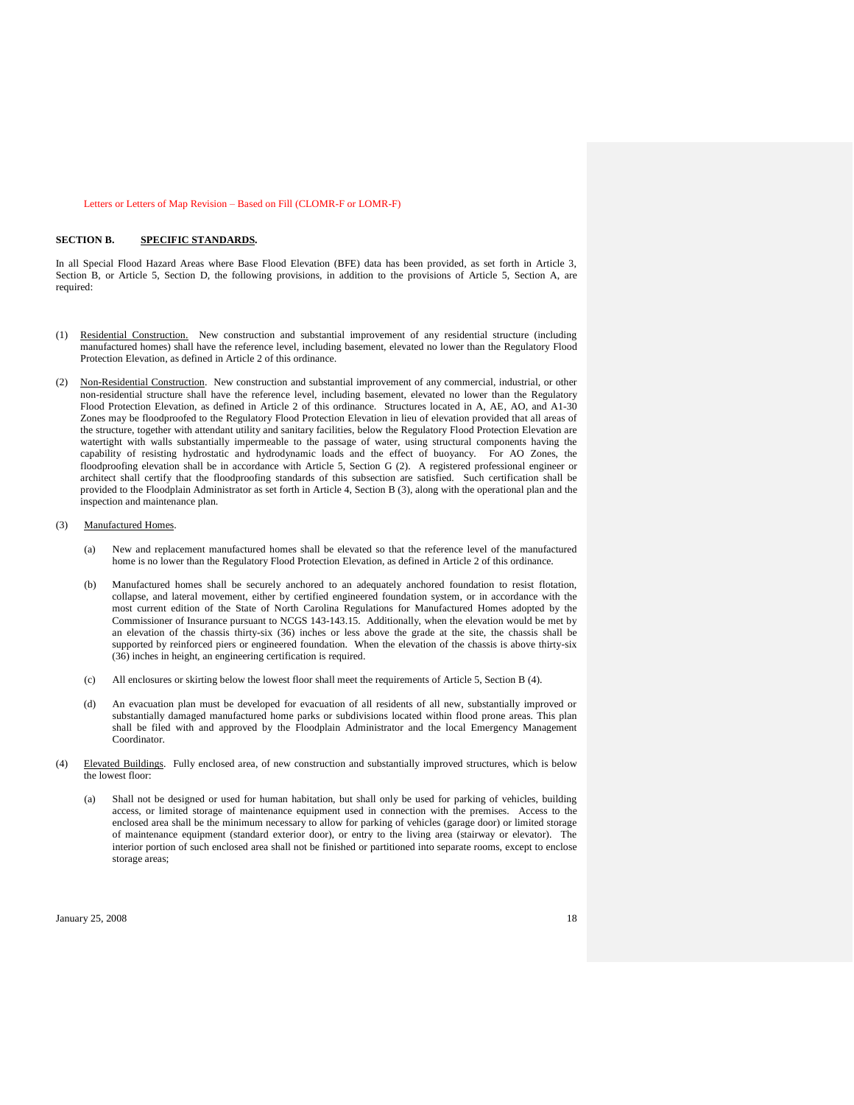#### Letters or Letters of Map Revision – Based on Fill (CLOMR-F or LOMR-F)

#### **SECTION B. SPECIFIC STANDARDS.**

In all Special Flood Hazard Areas where Base Flood Elevation (BFE) data has been provided, as set forth in Article 3, Section B, or Article 5, Section D, the following provisions, in addition to the provisions of Article 5, Section A, are required:

- Residential Construction. New construction and substantial improvement of any residential structure (including manufactured homes) shall have the reference level, including basement, elevated no lower than the Regulatory Flood Protection Elevation, as defined in Article 2 of this ordinance.
- (2) Non-Residential Construction. New construction and substantial improvement of any commercial, industrial, or other non-residential structure shall have the reference level, including basement, elevated no lower than the Regulatory Flood Protection Elevation, as defined in Article 2 of this ordinance. Structures located in A, AE, AO, and A1-30 Zones may be floodproofed to the Regulatory Flood Protection Elevation in lieu of elevation provided that all areas of the structure, together with attendant utility and sanitary facilities, below the Regulatory Flood Protection Elevation are watertight with walls substantially impermeable to the passage of water, using structural components having the capability of resisting hydrostatic and hydrodynamic loads and the effect of buoyancy. For AO Zones, the floodproofing elevation shall be in accordance with Article 5, Section G (2). A registered professional engineer or architect shall certify that the floodproofing standards of this subsection are satisfied. Such certification shall be provided to the Floodplain Administrator as set forth in Article 4, Section B (3), along with the operational plan and the inspection and maintenance plan.

#### (3) Manufactured Homes.

- (a) New and replacement manufactured homes shall be elevated so that the reference level of the manufactured home is no lower than the Regulatory Flood Protection Elevation, as defined in Article 2 of this ordinance.
- (b) Manufactured homes shall be securely anchored to an adequately anchored foundation to resist flotation, collapse, and lateral movement, either by certified engineered foundation system, or in accordance with the most current edition of the State of North Carolina Regulations for Manufactured Homes adopted by the Commissioner of Insurance pursuant to NCGS 143-143.15. Additionally, when the elevation would be met by an elevation of the chassis thirty-six (36) inches or less above the grade at the site, the chassis shall be supported by reinforced piers or engineered foundation. When the elevation of the chassis is above thirty-six (36) inches in height, an engineering certification is required.
- (c) All enclosures or skirting below the lowest floor shall meet the requirements of Article 5, Section B (4).
- (d) An evacuation plan must be developed for evacuation of all residents of all new, substantially improved or substantially damaged manufactured home parks or subdivisions located within flood prone areas. This plan shall be filed with and approved by the Floodplain Administrator and the local Emergency Management Coordinator.
- (4) Elevated Buildings. Fully enclosed area, of new construction and substantially improved structures, which is below the lowest floor:
	- (a) Shall not be designed or used for human habitation, but shall only be used for parking of vehicles, building access, or limited storage of maintenance equipment used in connection with the premises. Access to the enclosed area shall be the minimum necessary to allow for parking of vehicles (garage door) or limited storage of maintenance equipment (standard exterior door), or entry to the living area (stairway or elevator). The interior portion of such enclosed area shall not be finished or partitioned into separate rooms, except to enclose storage areas;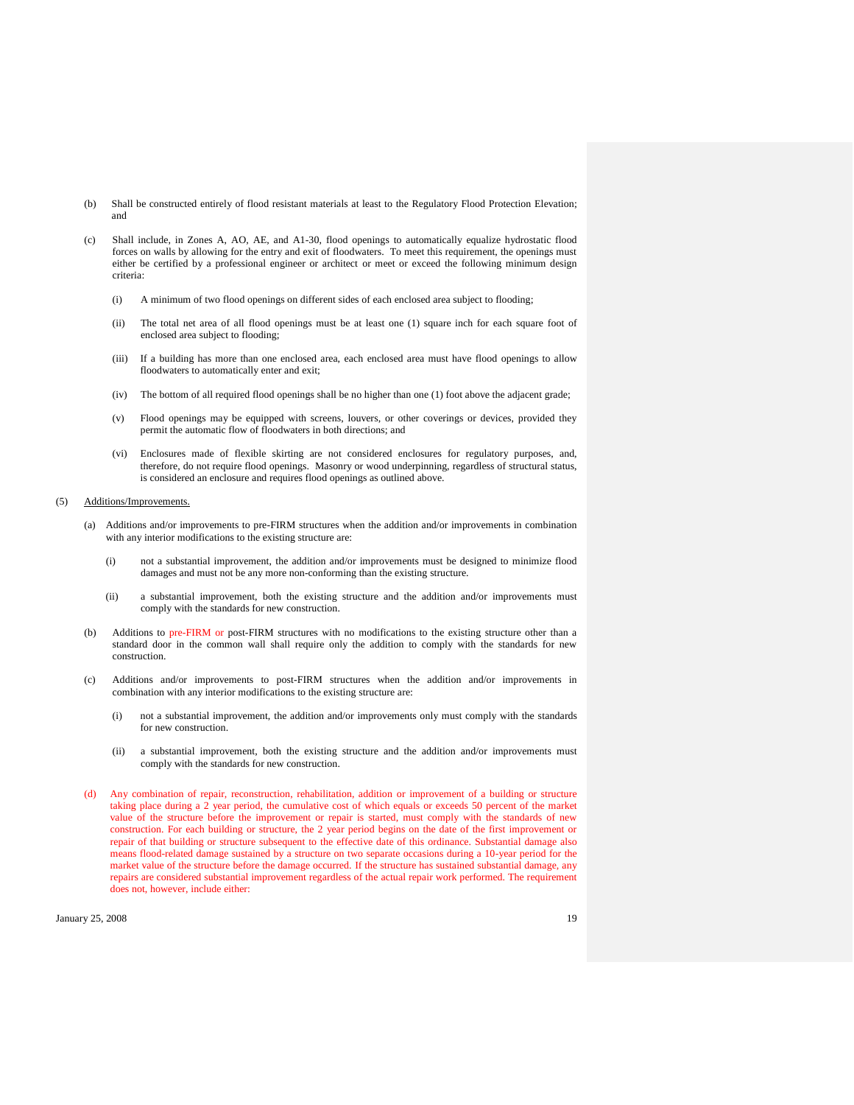- (b) Shall be constructed entirely of flood resistant materials at least to the Regulatory Flood Protection Elevation; and
- (c) Shall include, in Zones A, AO, AE, and A1-30, flood openings to automatically equalize hydrostatic flood forces on walls by allowing for the entry and exit of floodwaters. To meet this requirement, the openings must either be certified by a professional engineer or architect or meet or exceed the following minimum design criteria:
	- (i) A minimum of two flood openings on different sides of each enclosed area subject to flooding;
	- (ii) The total net area of all flood openings must be at least one (1) square inch for each square foot of enclosed area subject to flooding;
	- (iii) If a building has more than one enclosed area, each enclosed area must have flood openings to allow floodwaters to automatically enter and exit;
	- (iv) The bottom of all required flood openings shall be no higher than one (1) foot above the adjacent grade;
	- (v) Flood openings may be equipped with screens, louvers, or other coverings or devices, provided they permit the automatic flow of floodwaters in both directions; and
	- (vi) Enclosures made of flexible skirting are not considered enclosures for regulatory purposes, and, therefore, do not require flood openings. Masonry or wood underpinning, regardless of structural status, is considered an enclosure and requires flood openings as outlined above.

#### (5) Additions/Improvements.

- (a) Additions and/or improvements to pre-FIRM structures when the addition and/or improvements in combination with any interior modifications to the existing structure are:
	- (i) not a substantial improvement, the addition and/or improvements must be designed to minimize flood damages and must not be any more non-conforming than the existing structure.
	- (ii) a substantial improvement, both the existing structure and the addition and/or improvements must comply with the standards for new construction.
- (b) Additions to pre-FIRM or post-FIRM structures with no modifications to the existing structure other than a standard door in the common wall shall require only the addition to comply with the standards for new construction.
- (c) Additions and/or improvements to post-FIRM structures when the addition and/or improvements in combination with any interior modifications to the existing structure are:
	- (i) not a substantial improvement, the addition and/or improvements only must comply with the standards for new construction.
	- (ii) a substantial improvement, both the existing structure and the addition and/or improvements must comply with the standards for new construction.
- (d) Any combination of repair, reconstruction, rehabilitation, addition or improvement of a building or structure taking place during a 2 year period, the cumulative cost of which equals or exceeds 50 percent of the market value of the structure before the improvement or repair is started, must comply with the standards of new construction. For each building or structure, the 2 year period begins on the date of the first improvement or repair of that building or structure subsequent to the effective date of this ordinance. Substantial damage also means flood-related damage sustained by a structure on two separate occasions during a 10-year period for the market value of the structure before the damage occurred. If the structure has sustained substantial damage, any repairs are considered substantial improvement regardless of the actual repair work performed. The requirement does not, however, include either:

 $J_{\text{anuary}}$  25, 2008 19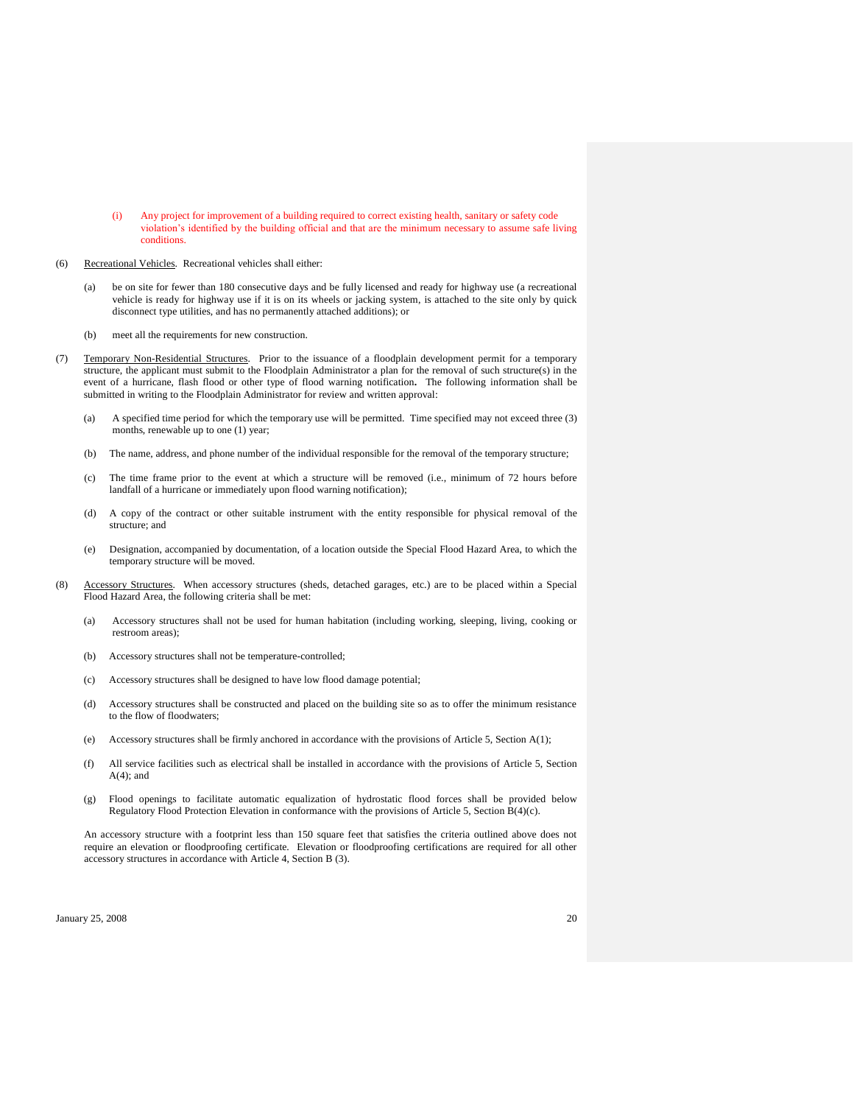- (i) Any project for improvement of a building required to correct existing health, sanitary or safety code violation's identified by the building official and that are the minimum necessary to assume safe living conditions.
- (6) Recreational Vehicles. Recreational vehicles shall either:
	- (a) be on site for fewer than 180 consecutive days and be fully licensed and ready for highway use (a recreational vehicle is ready for highway use if it is on its wheels or jacking system, is attached to the site only by quick disconnect type utilities, and has no permanently attached additions); or
	- (b) meet all the requirements for new construction.
- (7) Temporary Non-Residential Structures. Prior to the issuance of a floodplain development permit for a temporary structure, the applicant must submit to the Floodplain Administrator a plan for the removal of such structure(s) in the event of a hurricane, flash flood or other type of flood warning notification**.** The following information shall be submitted in writing to the Floodplain Administrator for review and written approval:
	- (a) A specified time period for which the temporary use will be permitted. Time specified may not exceed three (3) months, renewable up to one (1) year;
	- (b) The name, address, and phone number of the individual responsible for the removal of the temporary structure;
	- (c) The time frame prior to the event at which a structure will be removed (i.e., minimum of 72 hours before landfall of a hurricane or immediately upon flood warning notification);
	- (d) A copy of the contract or other suitable instrument with the entity responsible for physical removal of the structure; and
	- (e) Designation, accompanied by documentation, of a location outside the Special Flood Hazard Area, to which the temporary structure will be moved.
- (8) Accessory Structures. When accessory structures (sheds, detached garages, etc.) are to be placed within a Special Flood Hazard Area, the following criteria shall be met:
	- (a) Accessory structures shall not be used for human habitation (including working, sleeping, living, cooking or restroom areas);
	- (b) Accessory structures shall not be temperature-controlled;
	- (c) Accessory structures shall be designed to have low flood damage potential;
	- (d) Accessory structures shall be constructed and placed on the building site so as to offer the minimum resistance to the flow of floodwaters;
	- (e) Accessory structures shall be firmly anchored in accordance with the provisions of Article 5, Section A(1);
	- (f) All service facilities such as electrical shall be installed in accordance with the provisions of Article 5, Section  $A(4)$ ; and
	- (g) Flood openings to facilitate automatic equalization of hydrostatic flood forces shall be provided below Regulatory Flood Protection Elevation in conformance with the provisions of Article 5, Section B(4)(c).

An accessory structure with a footprint less than 150 square feet that satisfies the criteria outlined above does not require an elevation or floodproofing certificate. Elevation or floodproofing certifications are required for all other accessory structures in accordance with Article 4, Section B (3).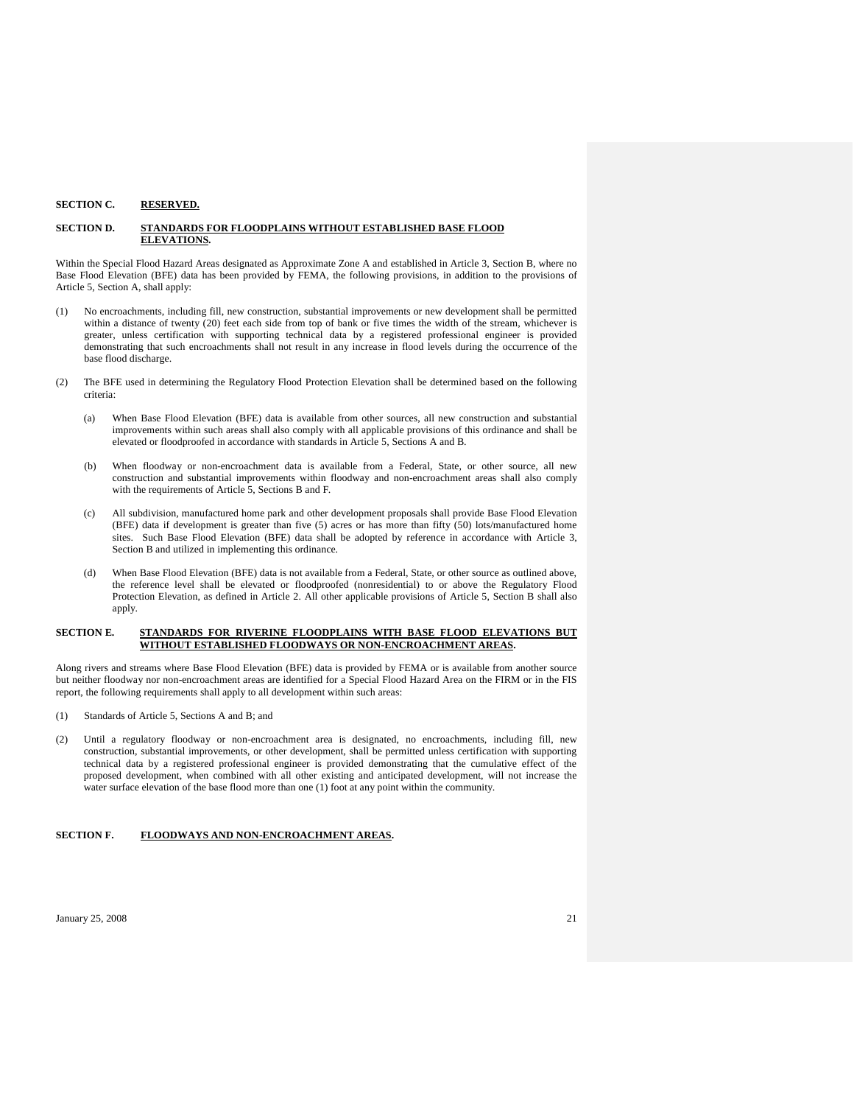#### **SECTION C. RESERVED.**

### **SECTION D. STANDARDS FOR FLOODPLAINS WITHOUT ESTABLISHED BASE FLOOD ELEVATIONS.**

Within the Special Flood Hazard Areas designated as Approximate Zone A and established in Article 3, Section B, where no Base Flood Elevation (BFE) data has been provided by FEMA, the following provisions, in addition to the provisions of Article 5, Section A, shall apply:

- (1) No encroachments, including fill, new construction, substantial improvements or new development shall be permitted within a distance of twenty (20) feet each side from top of bank or five times the width of the stream, whichever is greater, unless certification with supporting technical data by a registered professional engineer is provided demonstrating that such encroachments shall not result in any increase in flood levels during the occurrence of the base flood discharge.
- (2) The BFE used in determining the Regulatory Flood Protection Elevation shall be determined based on the following criteria:
	- (a) When Base Flood Elevation (BFE) data is available from other sources, all new construction and substantial improvements within such areas shall also comply with all applicable provisions of this ordinance and shall be elevated or floodproofed in accordance with standards in Article 5, Sections A and B.
	- (b) When floodway or non-encroachment data is available from a Federal, State, or other source, all new construction and substantial improvements within floodway and non-encroachment areas shall also comply with the requirements of Article 5, Sections B and F.
	- (c) All subdivision, manufactured home park and other development proposals shall provide Base Flood Elevation (BFE) data if development is greater than five (5) acres or has more than fifty (50) lots/manufactured home sites. Such Base Flood Elevation (BFE) data shall be adopted by reference in accordance with Article 3, Section B and utilized in implementing this ordinance.
	- (d) When Base Flood Elevation (BFE) data is not available from a Federal, State, or other source as outlined above, the reference level shall be elevated or floodproofed (nonresidential) to or above the Regulatory Flood Protection Elevation, as defined in Article 2. All other applicable provisions of Article 5, Section B shall also apply.

#### **SECTION E. STANDARDS FOR RIVERINE FLOODPLAINS WITH BASE FLOOD ELEVATIONS BUT WITHOUT ESTABLISHED FLOODWAYS OR NON-ENCROACHMENT AREAS.**

Along rivers and streams where Base Flood Elevation (BFE) data is provided by FEMA or is available from another source but neither floodway nor non-encroachment areas are identified for a Special Flood Hazard Area on the FIRM or in the FIS report, the following requirements shall apply to all development within such areas:

- (1) Standards of Article 5, Sections A and B; and
- (2) Until a regulatory floodway or non-encroachment area is designated, no encroachments, including fill, new construction, substantial improvements, or other development, shall be permitted unless certification with supporting technical data by a registered professional engineer is provided demonstrating that the cumulative effect of the proposed development, when combined with all other existing and anticipated development, will not increase the water surface elevation of the base flood more than one (1) foot at any point within the community.

#### **SECTION F. FLOODWAYS AND NON-ENCROACHMENT AREAS.**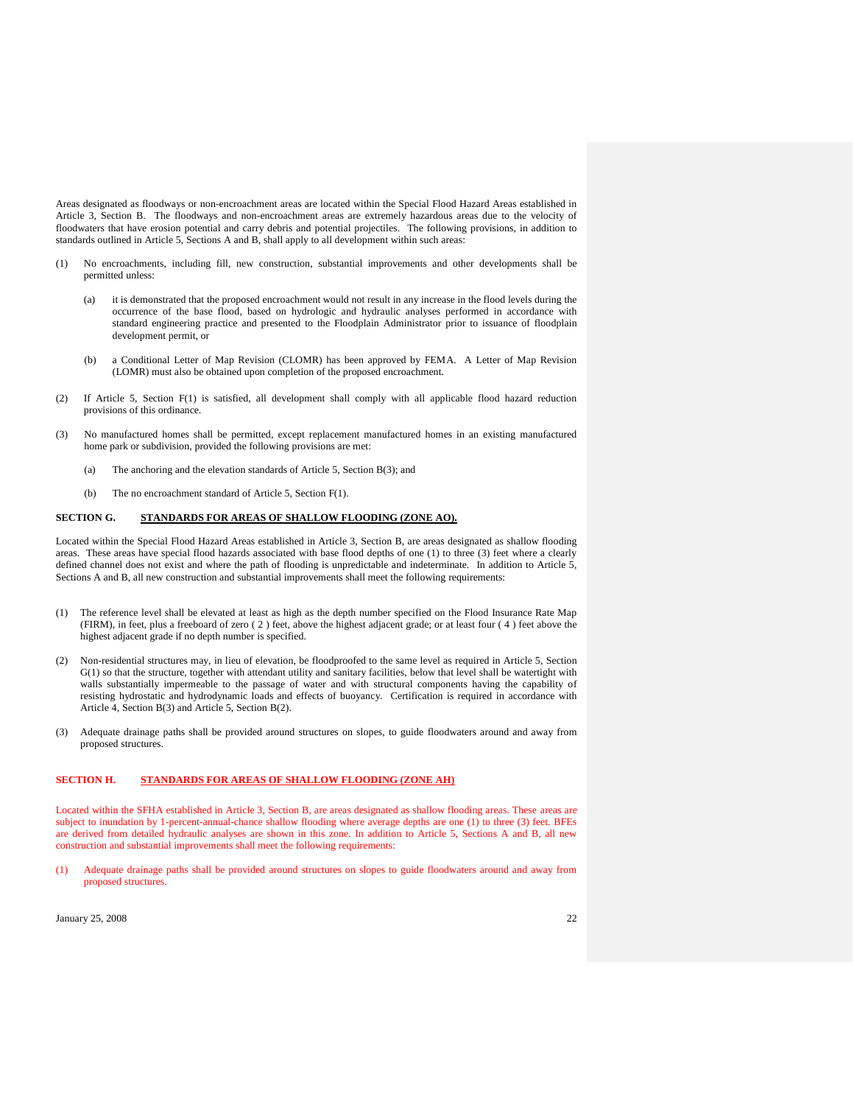Areas designated as floodways or non-encroachment areas are located within the Special Flood Hazard Areas established in Article 3, Section B. The floodways and non-encroachment areas are extremely hazardous areas due to the velocity of floodwaters that have erosion potential and carry debris and potential projectiles. The following provisions, in addition to standards outlined in Article 5, Sections A and B, shall apply to all development within such areas:

- (1) No encroachments, including fill, new construction, substantial improvements and other developments shall be permitted unless:
	- (a) it is demonstrated that the proposed encroachment would not result in any increase in the flood levels during the occurrence of the base flood, based on hydrologic and hydraulic analyses performed in accordance with standard engineering practice and presented to the Floodplain Administrator prior to issuance of floodplain development permit, or
	- (b) a Conditional Letter of Map Revision (CLOMR) has been approved by FEMA. A Letter of Map Revision (LOMR) must also be obtained upon completion of the proposed encroachment.
- (2) If Article 5, Section F(1) is satisfied, all development shall comply with all applicable flood hazard reduction provisions of this ordinance.
- (3) No manufactured homes shall be permitted, except replacement manufactured homes in an existing manufactured home park or subdivision, provided the following provisions are met:
	- (a) The anchoring and the elevation standards of Article 5, Section B(3); and
	- (b) The no encroachment standard of Article 5, Section F(1).

### **SECTION G. STANDARDS FOR AREAS OF SHALLOW FLOODING (ZONE AO).**

Located within the Special Flood Hazard Areas established in Article 3, Section B, are areas designated as shallow flooding areas. These areas have special flood hazards associated with base flood depths of one (1) to three (3) feet where a clearly defined channel does not exist and where the path of flooding is unpredictable and indeterminate. In addition to Article 5, Sections A and B, all new construction and substantial improvements shall meet the following requirements:

- (1) The reference level shall be elevated at least as high as the depth number specified on the Flood Insurance Rate Map (FIRM), in feet, plus a freeboard of zero ( 2 ) feet, above the highest adjacent grade; or at least four ( 4 ) feet above the highest adjacent grade if no depth number is specified.
- (2) Non-residential structures may, in lieu of elevation, be floodproofed to the same level as required in Article 5, Section G(1) so that the structure, together with attendant utility and sanitary facilities, below that level shall be watertight with walls substantially impermeable to the passage of water and with structural components having the capability of resisting hydrostatic and hydrodynamic loads and effects of buoyancy. Certification is required in accordance with Article 4, Section B(3) and Article 5, Section B(2).
- (3) Adequate drainage paths shall be provided around structures on slopes, to guide floodwaters around and away from proposed structures.

## **SECTION H. STANDARDS FOR AREAS OF SHALLOW FLOODING (ZONE AH)**

Located within the SFHA established in Article 3, Section B, are areas designated as shallow flooding areas. These areas are subject to inundation by 1-percent-annual-chance shallow flooding where average depths are one (1) to three (3) feet. BFEs are derived from detailed hydraulic analyses are shown in this zone. In addition to Article 5, Sections A and B, all new construction and substantial improvements shall meet the following requirements:

(1) Adequate drainage paths shall be provided around structures on slopes to guide floodwaters around and away from proposed structures.